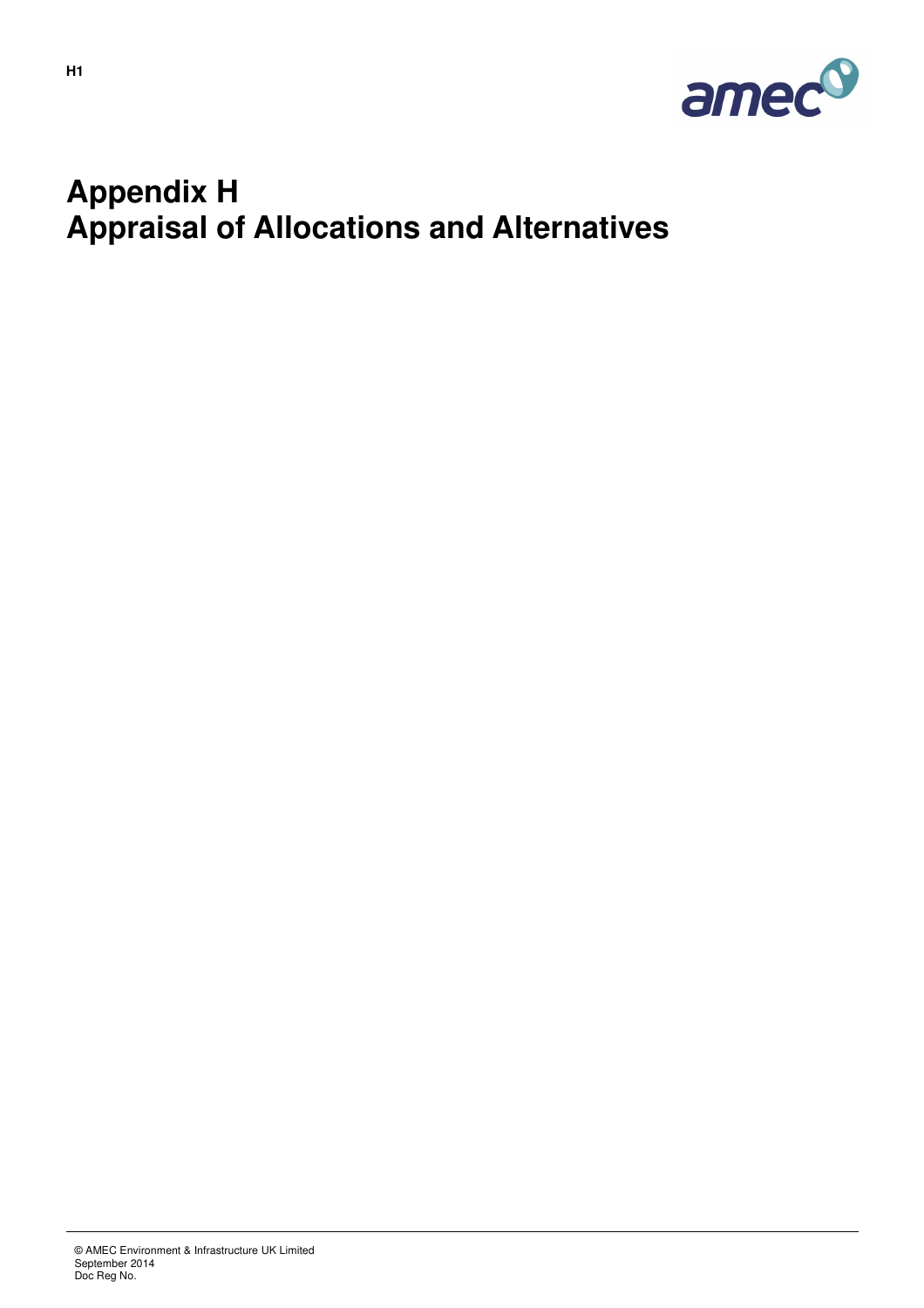

## **Appendix H Appraisal of Allocations and Alternatives**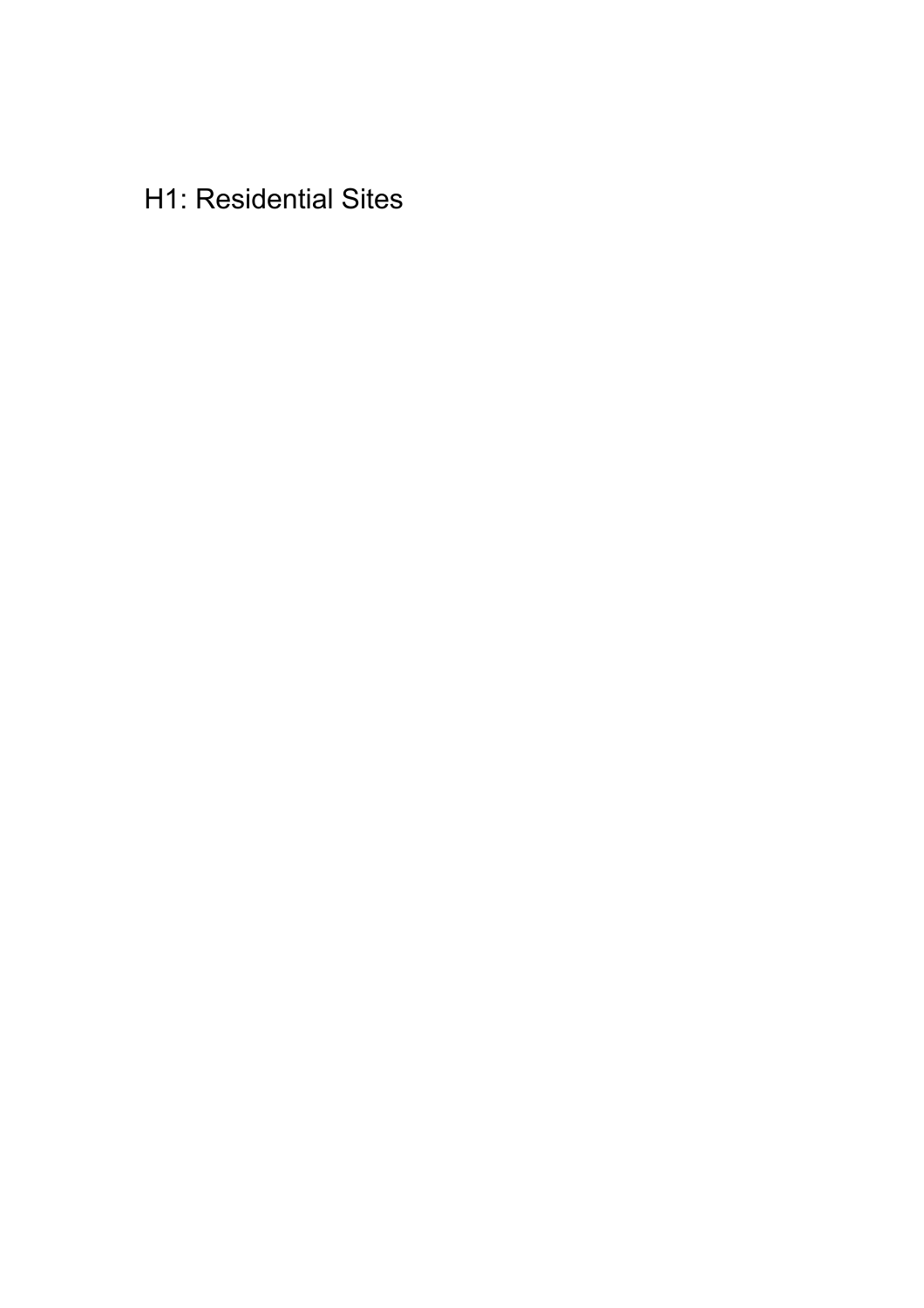**H1: Residential Sites**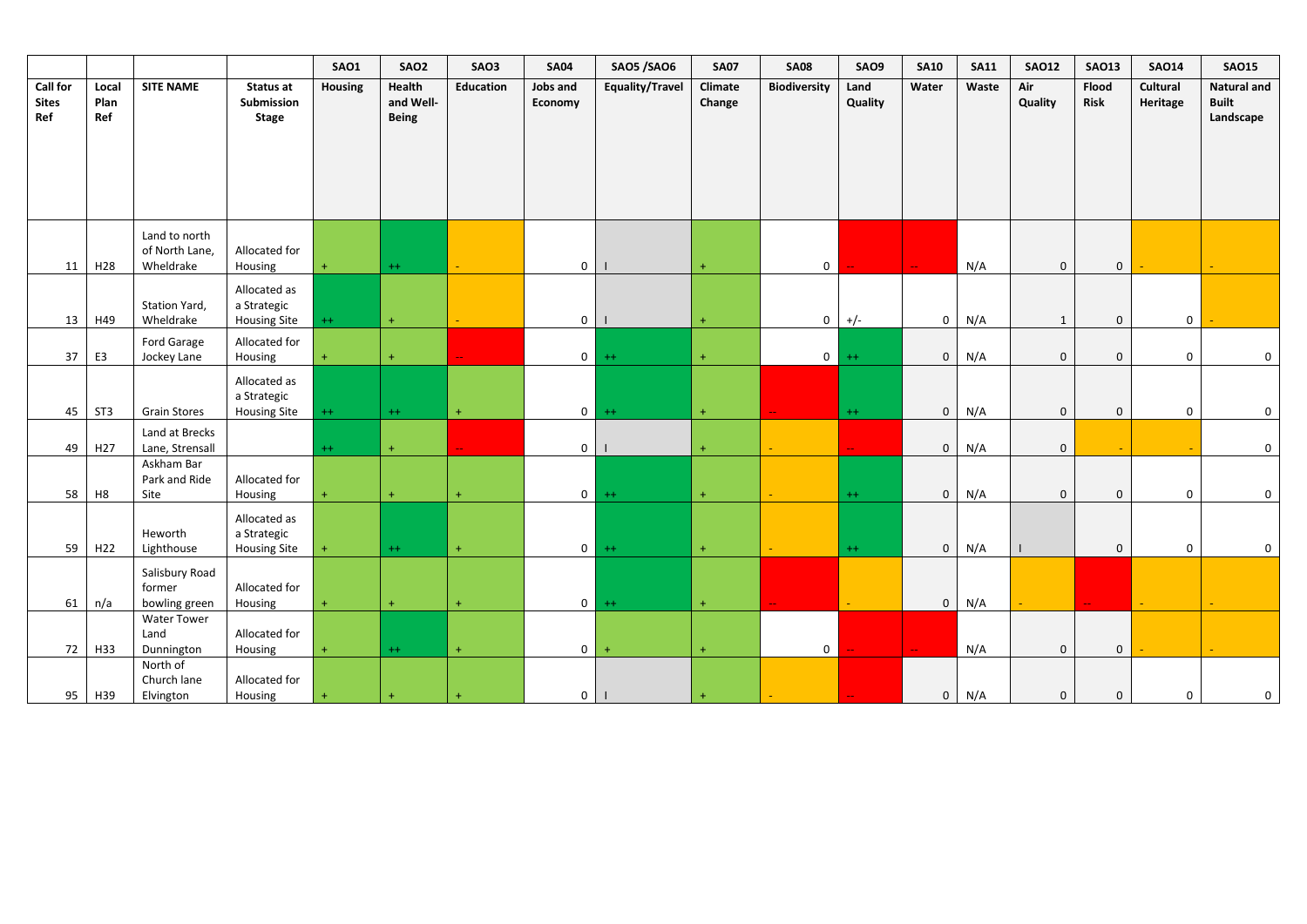|                                 |                      |                                              |                                                    | <b>SAO1</b>    | SAO <sub>2</sub>                    | SAO3      | <b>SA04</b>         | <b>SAO5 /SAO6</b> | <b>SA07</b>       | <b>SA08</b>         | SAO9            | <b>SA10</b>                 | <b>SA11</b> | <b>SAO12</b>   | <b>SAO13</b>         | <b>SA014</b>         | <b>SAO15</b>                                    |
|---------------------------------|----------------------|----------------------------------------------|----------------------------------------------------|----------------|-------------------------------------|-----------|---------------------|-------------------|-------------------|---------------------|-----------------|-----------------------------|-------------|----------------|----------------------|----------------------|-------------------------------------------------|
| Call for<br><b>Sites</b><br>Ref | Local<br>Plan<br>Ref | <b>SITE NAME</b>                             | Status at<br>Submission<br><b>Stage</b>            | <b>Housing</b> | Health<br>and Well-<br><b>Being</b> | Education | Jobs and<br>Economy | Equality/Travel   | Climate<br>Change | <b>Biodiversity</b> | Land<br>Quality | Water                       | Waste       | Air<br>Quality | Flood<br><b>Risk</b> | Cultural<br>Heritage | <b>Natural and</b><br><b>Built</b><br>Landscape |
| 11                              | H <sub>28</sub>      | Land to north<br>of North Lane,<br>Wheldrake | Allocated for<br>Housing                           | 4              | $++$                                |           | $\mathbf 0$         |                   |                   | $\mathbf 0$         |                 | $\mathbf{u}$                | N/A         | $\mathbf 0$    | $\mathbf 0$          |                      |                                                 |
| 13                              | H49                  | Station Yard,<br>Wheldrake                   | Allocated as<br>a Strategic<br><b>Housing Site</b> | $++$           | $\ddot{}$                           |           | $\overline{0}$      |                   |                   | 0                   | $+/-$           | $\mathbf 0$                 | N/A         | 1              | $\mathbf 0$          | $\mathbf 0$          |                                                 |
| 37                              | E <sub>3</sub>       | Ford Garage<br>Jockey Lane                   | Allocated for<br>Housing                           |                | $\ddot{}$                           |           | $\circ$             | $++$              | $+$               | $\circ$             | $++$            | $\mathbf{0}$                | N/A         | $\mathbf 0$    | $\mathbf{0}$         | $\mathbf 0$          | $\mathbf 0$                                     |
| 45                              | ST <sub>3</sub>      | <b>Grain Stores</b>                          | Allocated as<br>a Strategic<br><b>Housing Site</b> | $++$           | $^{++}$                             | $+$       | $\overline{0}$      | $++$              | $+$               |                     | $++$            | $\mathbf{0}$                | N/A         | $\mathbf 0$    | $\mathbf 0$          | $\mathsf{O}\xspace$  | $\mathbf 0$                                     |
| 49                              | H <sub>27</sub>      | Land at Brecks<br>Lane, Strensall            |                                                    | $++$           | $\ddot{}$                           |           | $\overline{0}$      |                   |                   |                     |                 | $\mathbf{0}$                | N/A         | $\mathbf 0$    |                      |                      | $\mathbf 0$                                     |
| 58                              | H8                   | Askham Bar<br>Park and Ride<br>Site          | Allocated for<br>Housing                           |                | $\ddot{}$                           | $\ddot{}$ | $\overline{0}$      | $++$              | $+$               |                     | $++$            | $\mathbf{0}$                | N/A         | $\mathbf 0$    | $\mathbf{0}$         | $\mathbf 0$          | $\mathsf 0$                                     |
| 59                              | H <sub>22</sub>      | Heworth<br>Lighthouse                        | Allocated as<br>a Strategic<br><b>Housing Site</b> | $\ddot{}$      | $++$                                | $\ddot{}$ | $\circ$             | $++$              | $+$               |                     | $++$            | $\mathbf{0}$                | N/A         |                | $\mathbf{0}$         | $\mathbf 0$          | $\mathbf 0$                                     |
| 61                              | n/a                  | Salisbury Road<br>former<br>bowling green    | Allocated for<br>Housing                           | $\ddot{}$      | $+$                                 | $+$       | 0 <sup>1</sup>      | $++$              | $+$               |                     |                 | $\overline{0}$              | N/A         |                |                      |                      |                                                 |
| 72                              | H33                  | <b>Water Tower</b><br>Land<br>Dunnington     | Allocated for<br>Housing                           | 4              | $^{++}$                             | $+$       | $\mathbf{0}$        | $\ddot{}$         | $+$               | $\mathbf{0}$        |                 | $\mathcal{L}_{\mathcal{F}}$ | N/A         | $\mathbf 0$    | $\mathbf 0$          |                      |                                                 |
| 95                              | H39                  | North of<br>Church lane<br>Elvington         | Allocated for<br>Housing                           | $\ddot{}$      | $\ddot{}$                           | $\ddot{}$ | 0 <sup>1</sup>      |                   |                   |                     |                 | $\mathbf{0}$                | N/A         | $\mathbf 0$    | $\mathbf 0$          | $\mathbf 0$          | $\boldsymbol{0}$                                |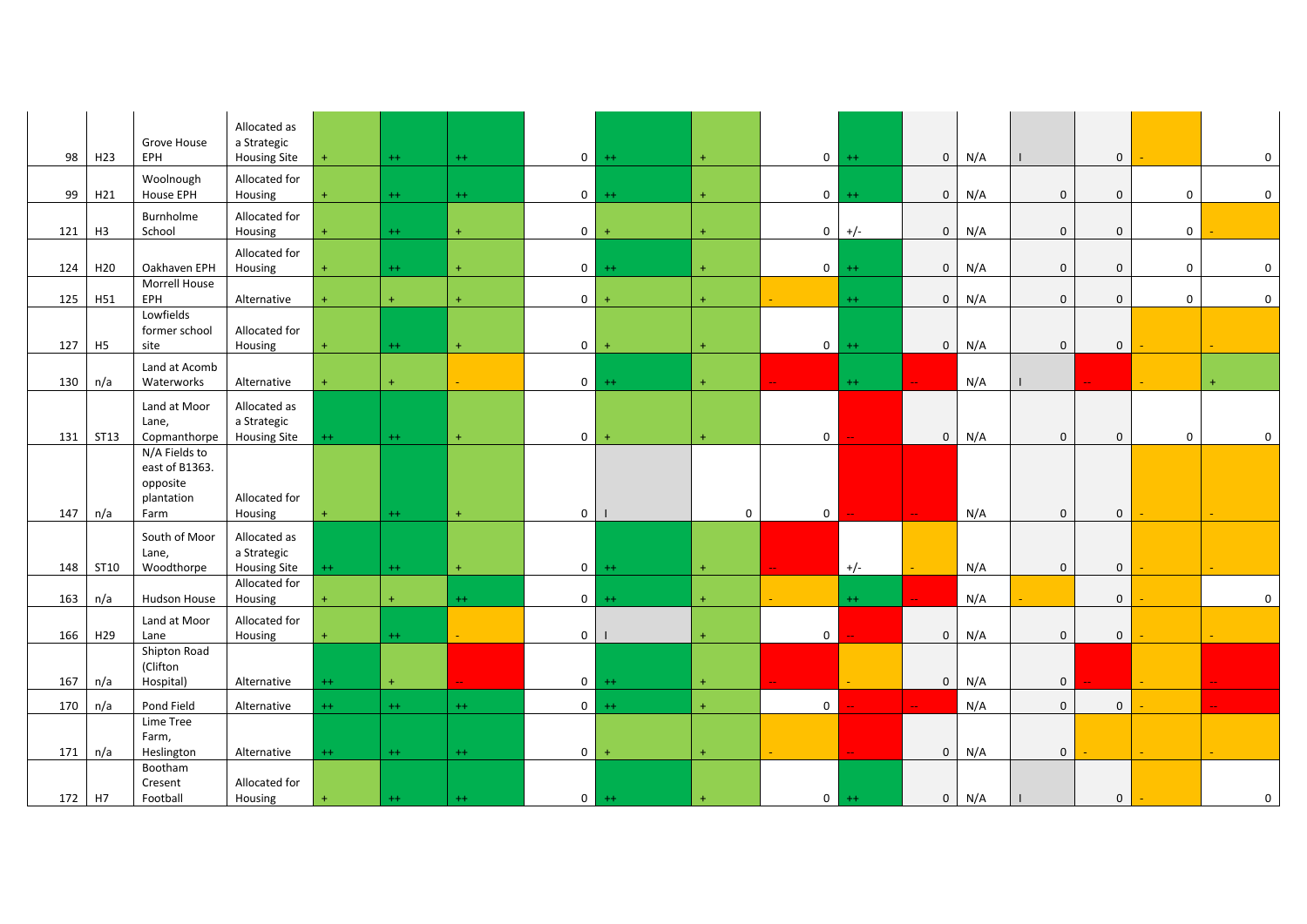| 98  | H <sub>23</sub> | Grove House<br>EPH            | Allocated as<br>a Strategic |           | $++$      |           | $\overline{0}$ | $++$      |             | $\overline{0}$ |         | $\mathbf{0}$                |     |              |             |              |                     |
|-----|-----------------|-------------------------------|-----------------------------|-----------|-----------|-----------|----------------|-----------|-------------|----------------|---------|-----------------------------|-----|--------------|-------------|--------------|---------------------|
|     |                 |                               | <b>Housing Site</b>         | $\ddot{}$ |           | $++$      |                |           | $+$         |                | $^{++}$ |                             | N/A |              | $\mathbf 0$ |              | 0                   |
|     |                 | Woolnough                     | Allocated for               |           |           |           |                |           |             |                |         |                             |     |              |             |              |                     |
| 99  | H21             | House EPH                     | Housing                     | $\ddot{}$ | $++$      | $++$      | $\overline{0}$ | $++$      | $+$         | $\overline{0}$ | $++$    | $\overline{0}$              | N/A | $\mathbf 0$  | $\mathbf 0$ | $\mathbf 0$  | $\boldsymbol{0}$    |
|     |                 | Burnholme                     | Allocated for               |           |           |           |                |           |             |                |         |                             |     |              |             |              |                     |
| 121 | H <sub>3</sub>  | School                        | Housing                     | $\ddot{}$ | $++$      | $+$       | $\mathbf{0}$   |           | $+$         | $\overline{0}$ | $+/-$   | $\overline{0}$              | N/A | $\mathbf 0$  | $\mathbf 0$ | $\mathbf 0$  |                     |
|     |                 |                               | Allocated for               |           |           |           |                |           |             |                |         |                             |     |              |             |              |                     |
| 124 | H <sub>20</sub> | Oakhaven EPH                  | Housing                     |           | $++$      | $+$       | $\overline{0}$ | $++$      | $+$         | $\overline{0}$ | $^{++}$ | $\overline{0}$              | N/A | $\mathbf 0$  | $\mathbf 0$ | $\mathbf 0$  | $\mathsf{O}\xspace$ |
|     |                 | Morrell House                 |                             |           |           |           |                |           |             |                |         |                             |     |              |             |              |                     |
| 125 | H51             | EPH                           | Alternative                 | $\ddot{}$ | $\ddot{}$ | $\ddot{}$ | $\overline{0}$ |           | $+$         |                | $++$    | $\overline{0}$              | N/A | $\mathbf 0$  | $\mathbf 0$ | $\mathbf 0$  | $\mathbf 0$         |
|     |                 | Lowfields                     |                             |           |           |           |                |           |             |                |         |                             |     |              |             |              |                     |
| 127 | H <sub>5</sub>  | former school<br>site         | Allocated for<br>Housing    | $\ddot{}$ | $^{++}$   | $\pm$     | $\overline{0}$ | $+$       | $+$         | $\overline{0}$ | $++$    | $\mathbf{0}$                | N/A | $\mathbf 0$  | $\mathbf 0$ |              |                     |
|     |                 |                               |                             |           |           |           |                |           |             |                |         |                             |     |              |             |              |                     |
| 130 |                 | Land at Acomb<br>Waterworks   |                             | $\ddot{}$ | $\ddot{}$ |           | $\overline{0}$ | $++$      | $+$         |                | $^{++}$ |                             | N/A |              |             | ÷.           | $\ddot{}$           |
|     | n/a             |                               | Alternative                 |           |           |           |                |           |             |                |         |                             |     |              |             |              |                     |
|     |                 | Land at Moor                  | Allocated as                |           |           |           |                |           |             |                |         |                             |     |              |             |              |                     |
|     |                 | Lane,                         | a Strategic                 |           |           |           |                |           |             |                |         |                             |     |              |             |              |                     |
| 131 | <b>ST13</b>     | Copmanthorpe<br>N/A Fields to | <b>Housing Site</b>         | $++$      | $++$      | $+$       | $\mathbf 0$    |           | $+$         | $\overline{0}$ |         | $\overline{0}$              | N/A | $\mathbf 0$  | $\mathbf 0$ | $\mathbf{0}$ | 0                   |
|     |                 | east of B1363.                |                             |           |           |           |                |           |             |                |         |                             |     |              |             |              |                     |
|     |                 | opposite                      |                             |           |           |           |                |           |             |                |         |                             |     |              |             |              |                     |
|     |                 | plantation                    | Allocated for               |           |           |           |                |           |             |                |         |                             |     |              |             |              |                     |
| 147 | n/a             | Farm                          | Housing                     | $\ddot{}$ | $++$      | $+$       | $\mathbf 0$    |           | $\mathbf 0$ | $\mathbf 0$    |         | $\mathbb{Z}^{\mathbb{Z}^n}$ | N/A | $\mathbf 0$  | $\mathbf 0$ |              |                     |
|     |                 | South of Moor                 | Allocated as                |           |           |           |                |           |             |                |         |                             |     |              |             |              |                     |
|     |                 | Lane,                         | a Strategic                 |           |           |           |                |           |             |                |         |                             |     |              |             |              |                     |
| 148 | ST10            | Woodthorpe                    | <b>Housing Site</b>         | $^{++}$   | $++$      | $\ddot{}$ | $\overline{0}$ | $++$      | $+$         |                | $+/-$   |                             | N/A | $\mathbf 0$  | $\mathbf 0$ |              |                     |
|     |                 |                               | Allocated for               |           |           |           |                |           |             |                |         |                             |     |              |             |              |                     |
| 163 | n/a             | Hudson House                  | Housing                     | $\ddot{}$ | $\ddot{}$ | $++$      | $\mathbf 0$    | $^{++}$   | $+$         |                | $^{++}$ |                             | N/A |              | $\mathbf 0$ |              | $\mathbf 0$         |
|     |                 | Land at Moor                  | Allocated for               |           |           |           |                |           |             |                |         |                             |     |              |             |              |                     |
| 166 | H <sub>29</sub> | Lane                          | Housing                     | $\ddot{}$ | $^{++}$   |           | $\overline{0}$ |           |             | $\overline{0}$ |         | $\mathbf 0$                 | N/A | $\mathbf 0$  | $\mathbf 0$ |              |                     |
|     |                 | Shipton Road                  |                             |           |           |           |                |           |             |                |         |                             |     |              |             |              |                     |
|     |                 | (Clifton                      |                             |           |           |           |                |           |             |                |         |                             |     |              |             |              |                     |
| 167 | n/a             | Hospital)                     | Alternative                 | $^{++}$   | $\ddot{}$ |           | $\overline{0}$ | $++$      | $+$         |                |         | $\mathbf{0}$                | N/A | $\mathbf 0$  |             |              |                     |
| 170 | n/a             | Pond Field                    | Alternative                 | $++$      | $++$      | $++$      | $\mathbf{0}$   | $++$      | $+$         | $\mathbf 0$    |         |                             | N/A | $\mathbf{0}$ | $\mathbf 0$ |              |                     |
|     |                 | Lime Tree                     |                             |           |           |           |                |           |             |                |         |                             |     |              |             |              |                     |
|     |                 | Farm,                         |                             |           |           |           |                |           |             |                |         |                             |     |              |             |              |                     |
| 171 | n/a             | Heslington                    | Alternative                 | $^{++}$   | $++$      | $++$      | $\mathbf 0$    | $\ddot{}$ | $\ddot{}$   |                |         | $\overline{0}$              | N/A | $\mathbf 0$  |             |              |                     |
|     |                 | Bootham<br>Cresent            | Allocated for               |           |           |           |                |           |             |                |         |                             |     |              |             |              |                     |
| 172 | H7              | Football                      | Housing                     | $\ddot{}$ | $^{++}$   | $^{++}$   | $\overline{0}$ | $++$      |             | $\overline{0}$ | $^{++}$ | $\mathbf{0}$                | N/A |              | $\mathbf 0$ |              | 0                   |
|     |                 |                               |                             |           |           |           |                |           |             |                |         |                             |     |              |             |              |                     |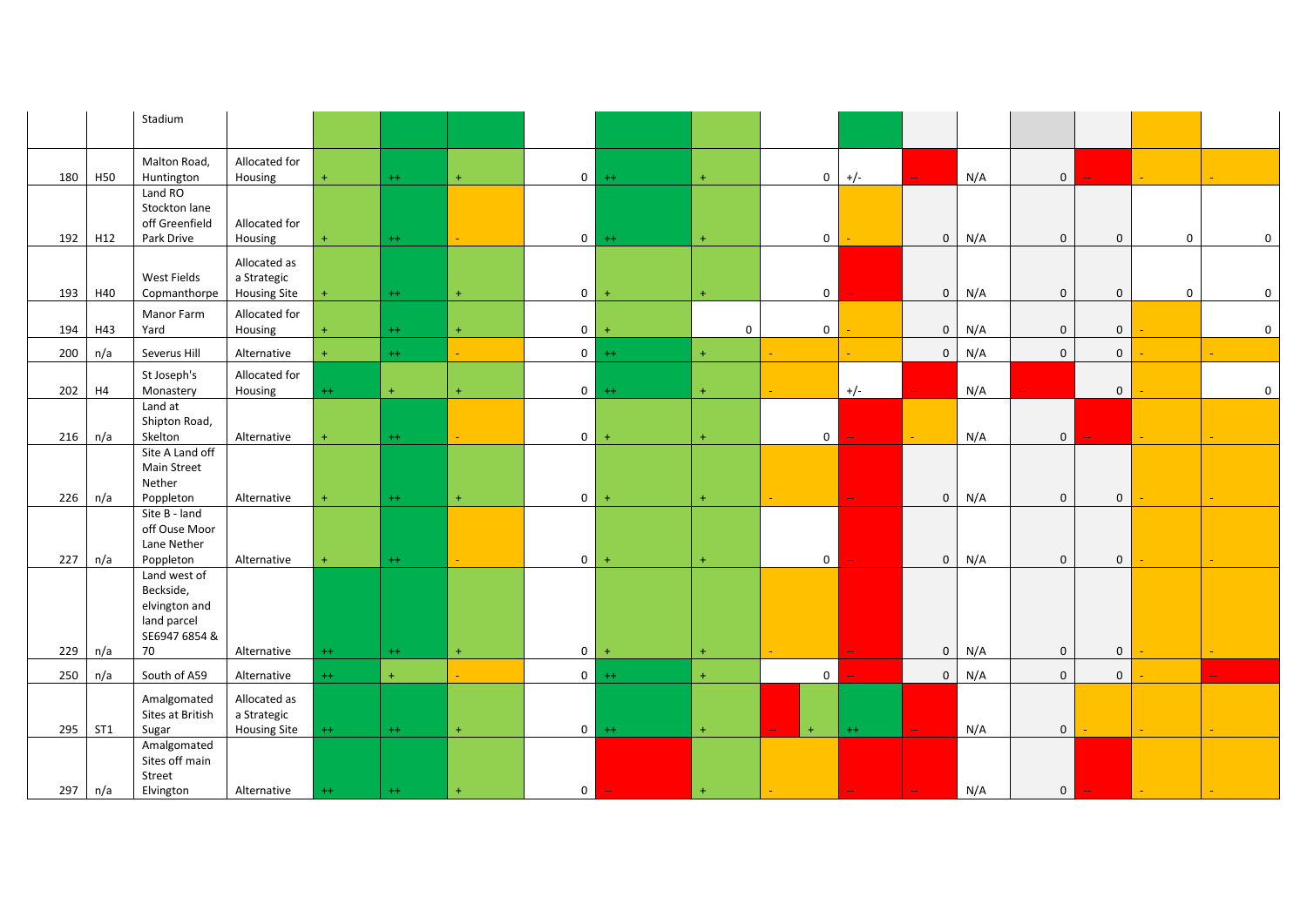|     |     | Stadium                                                                    |                                                    |         |         |                  |                |           |                     |                |       |               |     |                |                |                |                     |
|-----|-----|----------------------------------------------------------------------------|----------------------------------------------------|---------|---------|------------------|----------------|-----------|---------------------|----------------|-------|---------------|-----|----------------|----------------|----------------|---------------------|
| 180 | H50 | Malton Road,<br>Huntington                                                 | Allocated for<br>Housing                           | $+$     | $^{++}$ | $+$              | $\mathbf{0}$   | $++$      | $\ddot{}$           | $\overline{0}$ | $+/-$ |               | N/A | $\mathbf 0$    |                |                |                     |
| 192 | H12 | Land RO<br>Stockton lane<br>off Greenfield<br>Park Drive                   | Allocated for<br>Housing                           |         | $++$    |                  | $\overline{0}$ | $++$      | $+$                 | $\overline{0}$ |       | $\mathbf 0$   | N/A | $\mathbf{0}$   | $\mathbf 0$    | $\mathbf 0$    | 0                   |
| 193 | H40 | <b>West Fields</b><br>Copmanthorpe                                         | Allocated as<br>a Strategic<br><b>Housing Site</b> |         | $++$    | $+$              | $\mathbf 0$    | $\ddot{}$ | $+$                 | $\overline{0}$ |       | $\mathbf 0$   | N/A | $\mathbf 0$    | $\mathbf 0$    | $\mathbf 0$    | 0                   |
| 194 | H43 | Manor Farm<br>Yard                                                         | Allocated for<br>Housing                           |         | $++$    |                  | $\overline{0}$ |           | $\boldsymbol{0}$    | $\mathbf{0}$   |       | $\mathbf{0}$  | N/A | $\mathbf 0$    | $\mathbf 0$    |                | $\mathsf{O}\xspace$ |
| 200 | n/a | Severus Hill                                                               | Alternative                                        | $+$     | $++$    |                  | $\overline{0}$ | $++$      | $+$                 |                |       | $\Omega$      | N/A | $\mathbf{0}$   | $\mathbf 0$    |                |                     |
| 202 | H4  | St Joseph's<br>Monastery                                                   | Allocated for<br>Housing                           | $^{++}$ | $+$     | $+$              | $\mathbf 0$    | $^{++}$   | $\ddot{}$           |                | $+/-$ |               | N/A |                | $\mathbf 0$    |                | $\mathbf 0$         |
| 216 | n/a | Land at<br>Shipton Road,<br>Skelton                                        | Alternative                                        | $+$     | $^{++}$ |                  | $\mathbf 0$    | $\ddot{}$ | $\ddot{}$           | $\mathbf{0}$   |       |               | N/A | $\mathbf 0$    |                |                |                     |
|     |     | Site A Land off<br>Main Street<br>Nether                                   |                                                    |         |         |                  |                |           |                     |                |       |               |     |                |                |                |                     |
| 226 | n/a | Poppleton<br>Site B - land                                                 | Alternative                                        | $+$     | $^{++}$ | $+$              | $\mathbf{0}$   | $\ddot{}$ | $+$                 |                |       | $\mathbf{0}$  | N/A | $\mathbf{0}$   | $\mathbf 0$    |                |                     |
| 227 | n/a | off Ouse Moor<br>Lane Nether<br>Poppleton                                  | Alternative                                        |         | $++$    |                  | $\mathbf 0$    | $\ddot{}$ | $+$                 | $\overline{0}$ |       | $\mathbf 0$   | N/A | $\mathbf{0}$   | $\mathbf 0$    |                |                     |
|     |     | Land west of<br>Beckside,<br>elvington and<br>land parcel<br>SE6947 6854 & |                                                    |         |         |                  |                |           |                     |                |       |               |     |                |                |                |                     |
| 229 | n/a | 70                                                                         | Alternative                                        | $++$    | $++$    | $+$              | $\overline{0}$ | $\ddot{}$ | $+$                 |                |       | $\mathbf{0}$  | N/A | $\mathbf{0}$   | $\mathbf 0$    |                |                     |
| 250 | n/a | South of A59                                                               | Alternative                                        | $++$    | $+$     | $\Delta \sim 10$ | $\overline{0}$ | $++$      | $\ddot{\mathrm{+}}$ | $\overline{0}$ |       | $\mathbf 0$   | N/A | $\mathbf 0$    | $\overline{0}$ |                |                     |
| 295 | ST1 | Amalgomated<br>Sites at British<br>Sugar                                   | Allocated as<br>a Strategic<br><b>Housing Site</b> | $++$    | $^{++}$ | $\pm$            | $\mathbf{0}$   | $++$      | $\ddot{\mathrm{+}}$ | $+$            | $++$  |               | N/A | $\mathbf 0$    |                | a.             |                     |
| 297 | n/a | Amalgomated<br>Sites off main<br>Street<br>Elvington                       | Alternative                                        | $^{++}$ | $^{++}$ |                  | $\mathbf{0}$   |           | $\ddot{}$           |                |       | $\rightarrow$ | N/A | $\overline{0}$ |                | $\blacksquare$ |                     |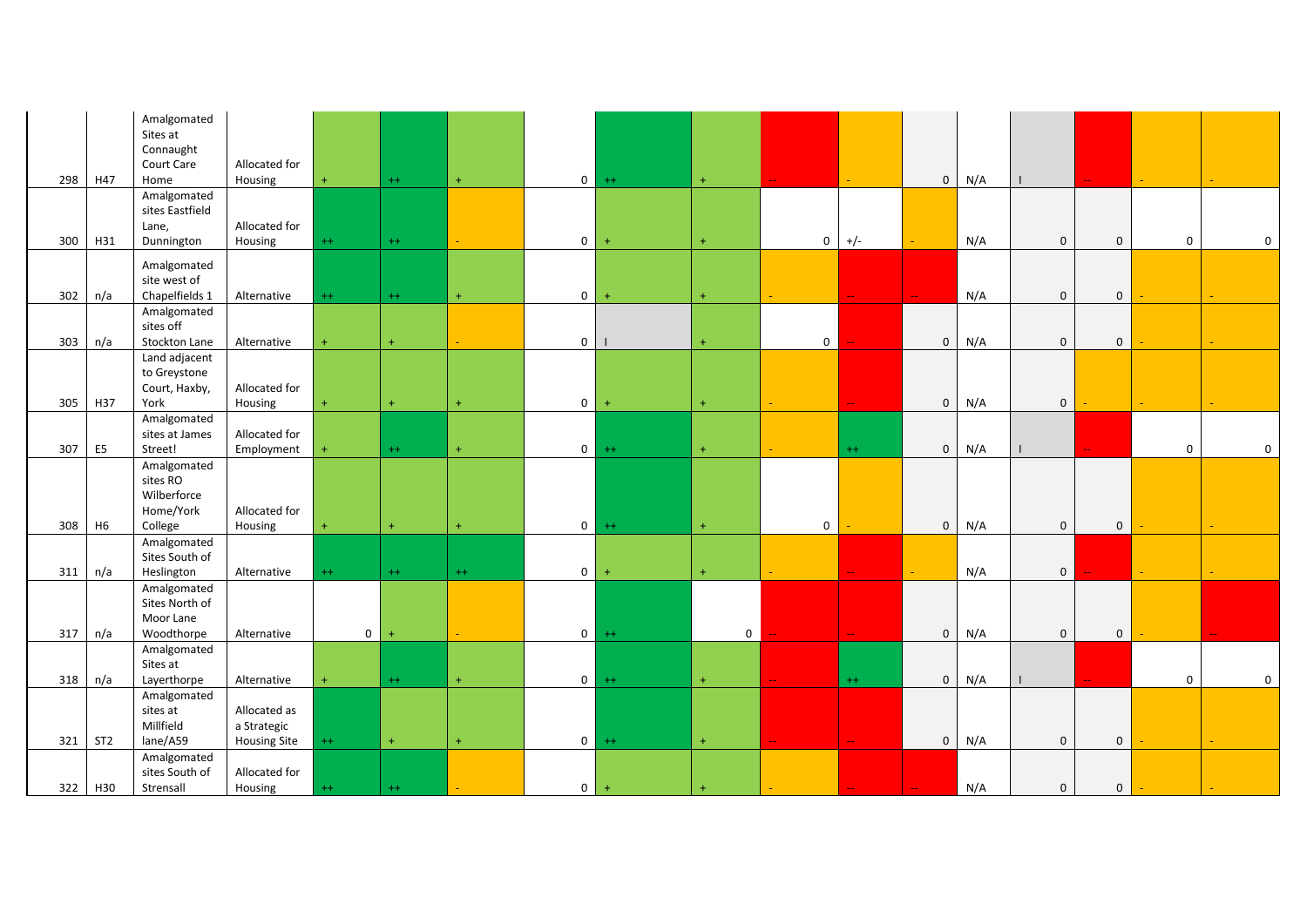|     |                 | Amalgomated<br>Sites at       |                                    |             |           |                  |                |                |             |                |                           |                |     |                |             |             |             |
|-----|-----------------|-------------------------------|------------------------------------|-------------|-----------|------------------|----------------|----------------|-------------|----------------|---------------------------|----------------|-----|----------------|-------------|-------------|-------------|
|     |                 | Connaught<br>Court Care       | Allocated for                      |             |           |                  |                |                |             |                |                           |                |     |                |             |             |             |
| 298 | H47             | Home                          | Housing                            |             | $++$      | $+$              | $\overline{0}$ | $++$           | $+$         |                |                           | $\mathbf{0}$   | N/A |                |             |             |             |
|     |                 | Amalgomated                   |                                    |             |           |                  |                |                |             |                |                           |                |     |                |             |             |             |
|     |                 | sites Eastfield               |                                    |             |           |                  |                |                |             |                |                           |                |     |                |             |             |             |
|     |                 | Lane,                         | Allocated for                      |             |           |                  |                |                |             |                |                           |                |     |                |             |             |             |
| 300 | H31             | Dunnington                    | Housing                            | $^{++}$     | $^{++}$   | $\omega_{\rm c}$ | $\overline{0}$ | $\ddot{}$      | $\ddot{}$   | $\bf{0}$       | $+/-$                     |                | N/A | $\mathbf 0$    | $\mathbf 0$ | $\mathbf 0$ | 0           |
|     |                 | Amalgomated<br>site west of   |                                    |             |           |                  |                |                |             |                |                           |                |     |                |             |             |             |
| 302 | n/a             | Chapelfields 1                | Alternative                        | $++$        | $++$      | $+$              | $\overline{0}$ | $\overline{+}$ | $+$         |                |                           |                | N/A | $\mathbf{0}$   | $\mathbf 0$ |             |             |
|     |                 | Amalgomated                   |                                    |             |           |                  |                |                |             |                |                           |                |     |                |             |             |             |
|     |                 | sites off                     |                                    |             |           |                  |                |                |             |                |                           |                |     |                |             |             |             |
| 303 | n/a             | Stockton Lane                 | Alternative                        | $\ddot{}$   | $+$       |                  | $\circ$        |                | $+$         | $\overline{0}$ |                           | $\mathbf{0}$   | N/A | $\mathbf{0}$   | $\mathbf 0$ |             |             |
|     |                 | Land adjacent                 |                                    |             |           |                  |                |                |             |                |                           |                |     |                |             |             |             |
|     |                 | to Greystone<br>Court, Haxby, | Allocated for                      |             |           |                  |                |                |             |                |                           |                |     |                |             |             |             |
| 305 | H37             | York                          | Housing                            | $\ddot{}$   | $\ddot{}$ |                  | $\overline{0}$ | $\overline{+}$ | $+$         |                |                           | $\mathbf 0$    | N/A | $\mathbf 0$    |             |             |             |
|     |                 | Amalgomated                   |                                    |             |           |                  |                |                |             |                |                           |                |     |                |             |             |             |
|     |                 | sites at James                | Allocated for                      |             |           |                  |                |                |             |                |                           |                |     |                |             |             |             |
| 307 | E <sub>5</sub>  | Street!                       | Employment                         |             | $^{++}$   | $\ddot{}$        | $\circ$        | $++$           | $+$         |                | $++$                      | $\mathbf 0$    | N/A |                |             | $\mathbf 0$ | 0           |
|     |                 | Amalgomated                   |                                    |             |           |                  |                |                |             |                |                           |                |     |                |             |             |             |
|     |                 | sites RO<br>Wilberforce       |                                    |             |           |                  |                |                |             |                |                           |                |     |                |             |             |             |
|     |                 | Home/York                     | Allocated for                      |             |           |                  |                |                |             |                |                           |                |     |                |             |             |             |
| 308 | H <sub>6</sub>  | College                       | Housing                            | $+$         | $+$       | $\ddot{}$        | $\overline{0}$ | $++$           | $\pm$       | $\mathbf 0$    |                           | $\overline{0}$ | N/A | $\mathbf 0$    | $\mathbf 0$ |             |             |
|     |                 | Amalgomated                   |                                    |             |           |                  |                |                |             |                |                           |                |     |                |             |             |             |
|     |                 | Sites South of                |                                    |             |           |                  |                |                |             |                |                           |                |     |                |             |             |             |
| 311 | n/a             | Heslington                    | Alternative                        | $++$        | $^{++}$   | $++$             | $\overline{0}$ | $+$            | $\ddot{}$   |                |                           |                | N/A | $\overline{0}$ |             |             |             |
|     |                 | Amalgomated                   |                                    |             |           |                  |                |                |             |                |                           |                |     |                |             |             |             |
|     |                 | Sites North of<br>Moor Lane   |                                    |             |           |                  |                |                |             |                |                           |                |     |                |             |             |             |
| 317 | n/a             | Woodthorpe                    | Alternative                        | $\mathbf 0$ | $\ddot{}$ |                  | $\overline{0}$ | $++$           | $\mathbf 0$ |                | ω,                        | $\mathbf 0$    | N/A | $\mathbf 0$    | $\mathbf 0$ |             |             |
|     |                 | Amalgomated                   |                                    |             |           |                  |                |                |             |                |                           |                |     |                |             |             |             |
|     |                 | Sites at                      |                                    |             |           |                  |                |                |             |                |                           |                |     |                |             |             |             |
| 318 | n/a             | Layerthorpe                   | Alternative                        |             | $^{++}$   | $+$              | $\overline{0}$ | $++$           | $+$         |                | $++$                      | $\mathbf 0$    | N/A |                |             | $\mathbf 0$ | $\mathbf 0$ |
|     |                 | Amalgomated                   |                                    |             |           |                  |                |                |             |                |                           |                |     |                |             |             |             |
|     |                 | sites at<br>Millfield         | Allocated as                       |             |           |                  |                |                |             |                |                           |                |     |                |             |             |             |
| 321 | ST <sub>2</sub> | lane/A59                      | a Strategic<br><b>Housing Site</b> | $++$        | $\pm$     | $\ddot{}$        | $\circ$        | $++$           | $\pm$       |                | $\mathbb{Z} \mathbb{Z}^n$ | $\mathbf 0$    | N/A | $\mathbf 0$    | $\mathbf 0$ |             |             |
|     |                 | Amalgomated                   |                                    |             |           |                  |                |                |             |                |                           |                |     |                |             |             |             |
|     |                 | sites South of                | Allocated for                      |             |           |                  |                |                |             |                |                           |                |     |                |             |             |             |
| 322 | H30             | Strensall                     | Housing                            | $^{++}$     | $^{++}$   |                  | $0-1$          | $+$            |             |                |                           |                | N/A | $\mathbf 0$    | $\mathbf 0$ |             |             |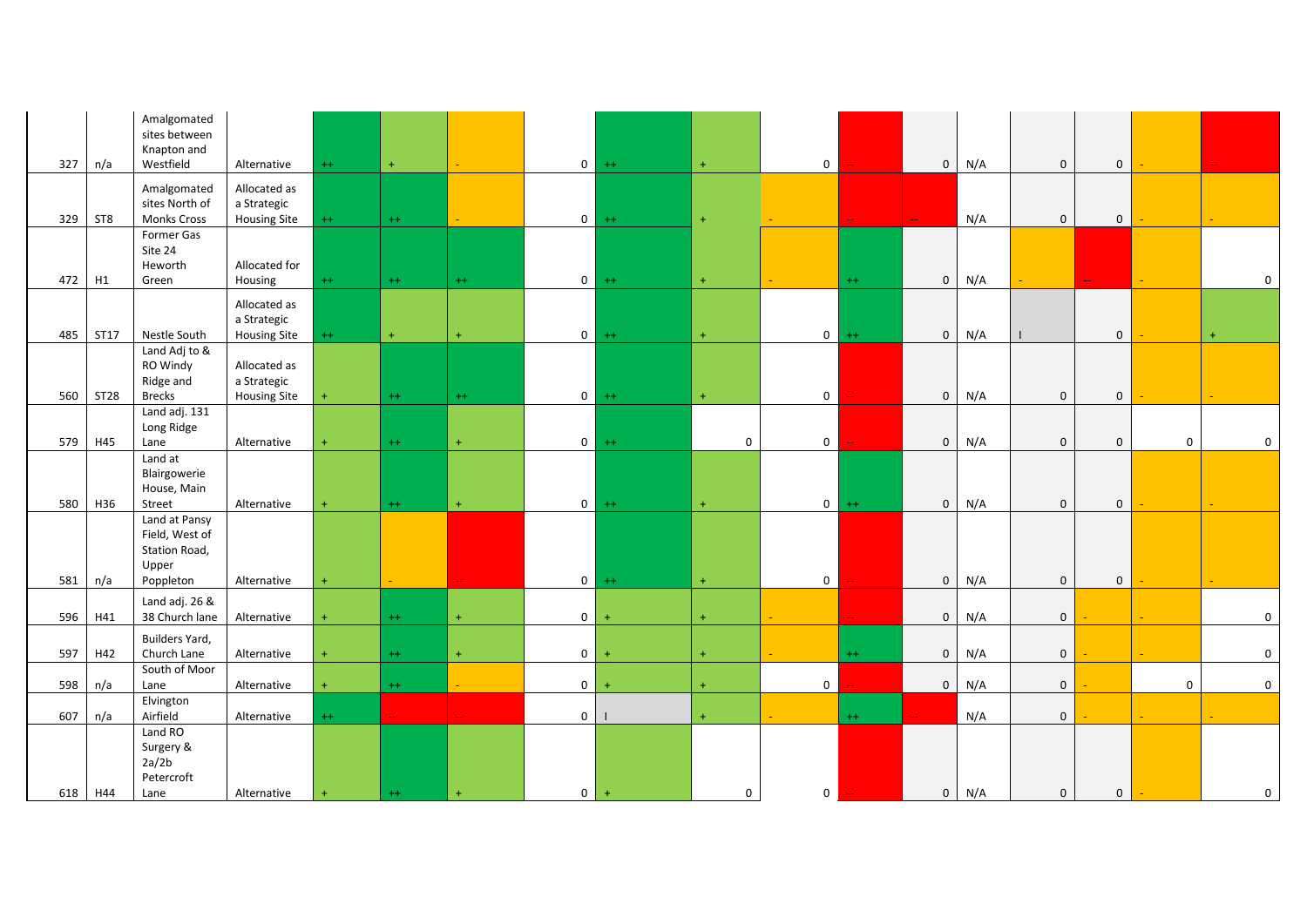| 327        | n/a             | Amalgomated<br>sites between<br>Knapton and<br>Westfield  | Alternative                                        | $++$      | $+$     |                |                | $0 + +$        | $\pm$              | $\overline{0}$ |         | $\mathbf 0$                | N/A        | $\mathbf{0}$                | $\overline{0}$ |             |              |
|------------|-----------------|-----------------------------------------------------------|----------------------------------------------------|-----------|---------|----------------|----------------|----------------|--------------------|----------------|---------|----------------------------|------------|-----------------------------|----------------|-------------|--------------|
| 329        | ST <sub>8</sub> | Amalgomated<br>sites North of<br><b>Monks Cross</b>       | Allocated as<br>a Strategic<br><b>Housing Site</b> | $++$      | $++$    |                |                | $0 + +$        | $+$                |                |         |                            | N/A        | $\mathbf{0}$                | $\overline{0}$ |             |              |
| 472        | H1              | Former Gas<br>Site 24<br>Heworth<br>Green                 | Allocated for<br>Housing                           | $^{++}$   | $^{++}$ | $^{++}$        |                | $0$ ++         | $\pm$              |                | $^{++}$ | $\mathbf 0$                | N/A        |                             |                |             | $\mathbf 0$  |
| 485        | ST17            | Nestle South                                              | Allocated as<br>a Strategic<br><b>Housing Site</b> | $^{++}$   | $\pm$   | $\ddot{}$      |                | $0 + +$        | $+$                | $\overline{0}$ | $++$    | $\mathbf{0}$               | N/A        | $\mathbf{I}$                | $\mathsf 0$    |             | $+$          |
| 560        | <b>ST28</b>     | Land Adj to &<br>RO Windy<br>Ridge and<br><b>Brecks</b>   | Allocated as<br>a Strategic<br><b>Housing Site</b> | $\ddot{}$ | $^{++}$ | $^{++}$        | $\overline{0}$ | $++$           | $\pm$              | $\overline{0}$ |         | $\mathbf 0$                | N/A        | $\mathbf 0$                 | $\mathbf 0$    |             |              |
| 579        | H45             | Land adj. 131<br>Long Ridge<br>Lane                       | Alternative                                        | $\ddot{}$ | $++$    | $+$            | $\circ$        | $++$           | $\mathbf 0$        | $\overline{0}$ |         | $\mathbf 0$                | N/A        | $\mathbf{0}$                | $\mathbf{0}$   | $\mathbf 0$ | $\mathbf 0$  |
| 580        | H36             | Land at<br>Blairgowerie<br>House, Main<br>Street          | Alternative                                        | $\ddot{}$ | $++$    | $+$            | $\overline{0}$ | $++$           | $+$                | $\overline{0}$ | $++$    | $\mathbf 0$                | N/A        | $\mathbf 0$                 | $\mathbf 0$    |             |              |
|            |                 | Land at Pansy<br>Field, West of<br>Station Road,<br>Upper |                                                    |           |         |                |                |                |                    |                |         |                            |            |                             |                |             |              |
| 581<br>596 | n/a<br>H41      | Poppleton<br>Land adj. 26 &<br>38 Church lane             | Alternative<br>Alternative                         | $\ddot{}$ | $++$    | $\ddot{}$      | $\circ$        | $0 + +$<br>$+$ | $\pm$<br>$\ddot{}$ | $\overline{0}$ |         | $\mathbf 0$<br>$\mathbf 0$ | N/A<br>N/A | $\mathbf 0$<br>$\mathbf{0}$ | $\overline{0}$ |             | $\mathbf 0$  |
| 597        | H42             | Builders Yard,<br>Church Lane                             | Alternative                                        | $\ddot{}$ | $++$    | $+$            | $\overline{0}$ | $+$            | $\ddot{}$          |                | $++$    | $\mathbf 0$                | N/A        | $\mathbf 0$                 |                |             | $\mathbf{0}$ |
| 598        | n/a             | South of Moor<br>Lane                                     | Alternative                                        | $\ddot{}$ | $++$    |                | $\overline{0}$ | $+$            | $+$                | $\mathbf 0$    |         | $\mathbf 0$                | N/A        | $\mathbf 0$                 |                | $\mathbf 0$ | $\mathbf 0$  |
| 607        | n/a             | Elvington<br>Airfield                                     | Alternative                                        | $++$      | ш,      | $\overline{a}$ | $\overline{0}$ |                | $+$                |                | $++$    |                            | N/A        | $\mathbf{0}$                |                |             |              |
|            | 618 H44         | Land RO<br>Surgery &<br>2a/2b<br>Petercroft<br>Lane       | Alternative                                        |           | $^{++}$ | $\ddot{}$      | $\circ$        | $+$            | 0                  | $\overline{0}$ |         | $\mathbf 0$                | N/A        | $\mathbf 0$                 | $\mathbf{0}$   |             | $\mathbf 0$  |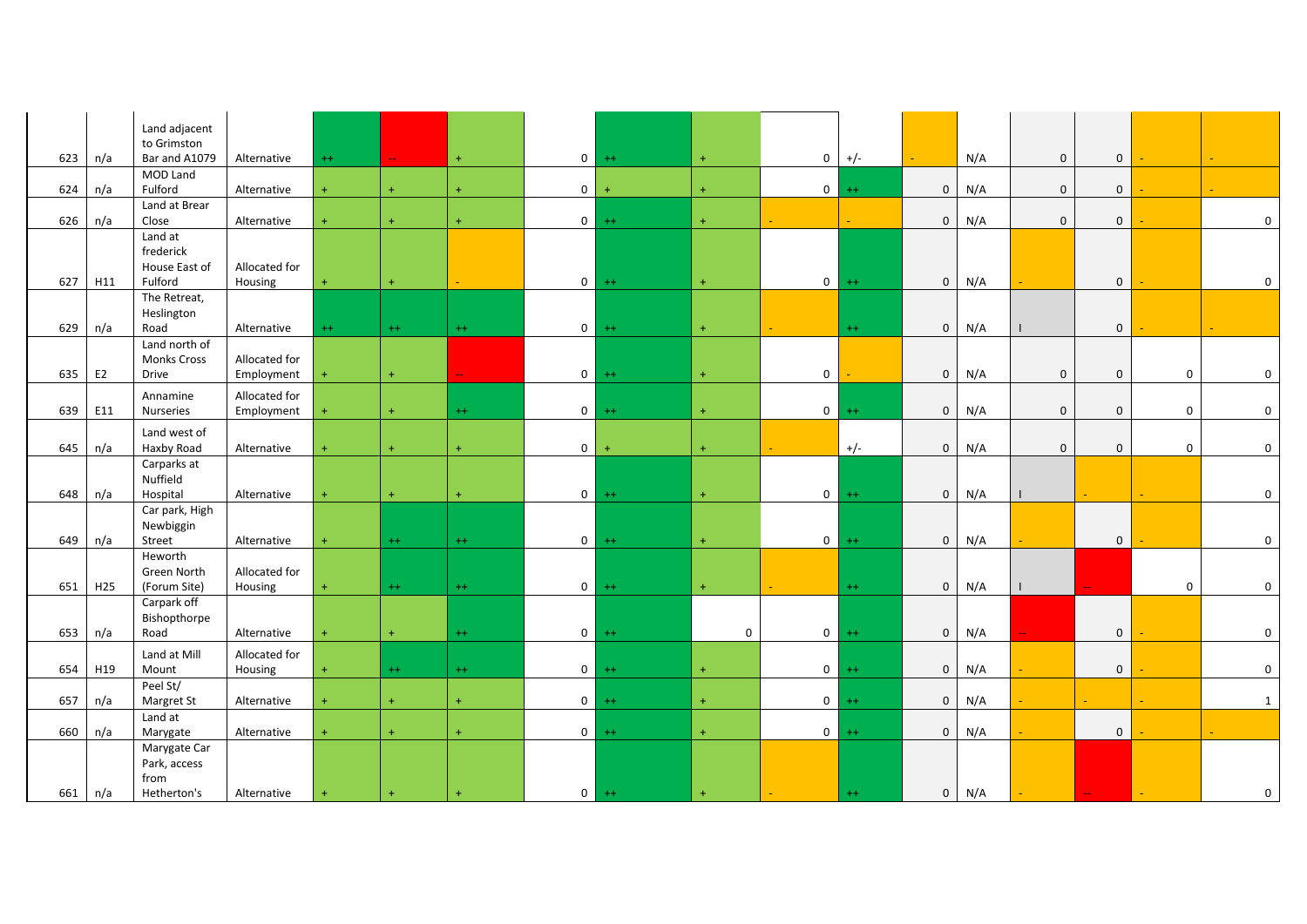|     |                 | Land adjacent<br>to Grimston          |                          |           |           |           |                |           |       |                |         |                |     |              |                |             |              |
|-----|-----------------|---------------------------------------|--------------------------|-----------|-----------|-----------|----------------|-----------|-------|----------------|---------|----------------|-----|--------------|----------------|-------------|--------------|
| 623 | n/a             | Bar and A1079                         | Alternative              | $^{++}$   |           | $+$       | $\overline{0}$ | $++$      | $+$   | $\,0\,$        | $+/-$   |                | N/A | $\mathbf 0$  | $\mathsf 0$    |             |              |
| 624 | n/a             | MOD Land<br>Fulford                   | Alternative              | $\ddot{}$ | $\ddot{}$ | $\ddot{}$ | $\mathbf 0$    |           | $+$   | $\mathbf 0$    | $^{++}$ | $\overline{0}$ | N/A | $\mathbf{0}$ | $\overline{0}$ |             |              |
| 626 | n/a             | Land at Brear<br>Close                | Alternative              | $\ddot{}$ | $+$       | $+$       | 0 <sup>1</sup> | $++$      | $\pm$ |                |         | $\mathbf 0$    | N/A | $\mathbf 0$  | $\overline{0}$ |             | $\mathbf 0$  |
|     |                 | Land at<br>frederick<br>House East of | Allocated for            |           |           |           |                |           |       |                |         |                |     |              |                |             |              |
| 627 | H11             | Fulford                               | Housing                  | $\ddot{}$ | $+$       |           | $\overline{0}$ | $++$      | $\pm$ | $\overline{0}$ | $++$    | $\overline{0}$ | N/A |              | $\mathbf 0$    |             | $\mathbf 0$  |
| 629 | n/a             | The Retreat,<br>Heslington<br>Road    | Alternative              | $++$      | $++$      | $++$      | $\overline{0}$ | $++$      | $+$   |                | $++$    | $\overline{0}$ | N/A |              | $\overline{0}$ |             |              |
|     |                 | Land north of<br><b>Monks Cross</b>   | Allocated for            |           |           |           |                |           |       |                |         |                |     |              |                |             |              |
| 635 | E <sub>2</sub>  | Drive                                 | Employment               | $+$       | $\ddot{}$ |           | $\overline{0}$ | $++$      | $+$   | $\mathbf 0$    |         | $\overline{0}$ | N/A | $\mathbf 0$  | $\mathbf 0$    | $\mathsf 0$ | $\mathbf 0$  |
|     |                 | Annamine                              | Allocated for            |           |           |           |                |           |       |                |         |                |     |              |                |             |              |
| 639 | E11             | Nurseries                             | Employment               | ÷         | $\ddot{}$ | $^{++}$   | $\overline{0}$ | $++$      | $+$   | $\mathbf 0$    | $++$    | $\mathbf{0}$   | N/A | $\mathbf 0$  | $\overline{0}$ | $\mathbf 0$ | $\mathbf 0$  |
| 645 | n/a             | Land west of<br>Haxby Road            | Alternative              | $\ddot{}$ | $\ddot{}$ | $\ddot{}$ | $\overline{0}$ | $\ddot{}$ | $+$   |                | $+/-$   | $\overline{0}$ | N/A | $\mathbf 0$  | $\mathbf 0$    | $\mathbf 0$ | $\mathbf 0$  |
|     |                 | Carparks at<br>Nuffield               |                          |           |           |           |                |           |       |                |         |                |     |              |                |             |              |
| 648 | n/a             | Hospital<br>Car park, High            | Alternative              | $+$       | $+$       | $+$       | $\overline{0}$ | $++$      | $+$   | $\mathbf{0}$   | $++$    | $\overline{0}$ | N/A |              |                | ш.          | $\mathbf 0$  |
| 649 | n/a             | Newbiggin<br>Street                   | Alternative              | $\ddot{}$ | $++$      | $^{++}$   | $\overline{0}$ | $++$      | $+$   | $\overline{0}$ | $++$    | $\overline{0}$ | N/A |              | $\mathbf{0}$   |             | $\mathbf 0$  |
|     |                 | Heworth<br>Green North                | Allocated for            |           |           |           |                |           |       |                |         |                |     |              |                |             |              |
| 651 | H <sub>25</sub> | (Forum Site)                          | Housing                  | $+$       | $++$      | $++$      | $\overline{0}$ | $++$      | $\pm$ |                | $++$    | $\overline{0}$ | N/A |              |                | $\mathbf 0$ | $\mathbf 0$  |
| 653 | n/a             | Carpark off<br>Bishopthorpe<br>Road   | Alternative              | $\ddot{}$ | $\ddot{}$ | $^{++}$   | $\overline{0}$ | $++$      | 0     | $\overline{0}$ | $++$    | $\overline{0}$ | N/A |              | $\mathbf 0$    |             | $\mathbf 0$  |
|     |                 | Land at Mill                          |                          |           |           |           |                |           |       |                |         |                |     |              |                |             |              |
| 654 | H19             | Mount                                 | Allocated for<br>Housing | $\ddot{}$ | $++$      | $++$      | $\overline{0}$ | $++$      | $+$   | $\overline{0}$ | $++$    | $\overline{0}$ | N/A |              | $\overline{0}$ |             | $\mathbf 0$  |
|     |                 | Peel St/                              |                          |           |           |           |                |           |       |                |         |                |     |              |                |             |              |
| 657 | n/a             | Margret St                            | Alternative              | $\ddot{}$ | $\ddot{}$ | $+$       | $\overline{0}$ | $++$      | $\pm$ | $\overline{0}$ | $^{++}$ | $\overline{0}$ | N/A |              | ÷.             |             | $\mathbf{1}$ |
| 660 | n/a             | Land at<br>Marygate                   | Alternative              | $+$       | $+$       | $+$       | $\circ$        | $++$      | $+$   | $\overline{0}$ | $++$    | $\overline{0}$ | N/A |              | $\mathbf 0$    |             |              |
|     |                 | Marygate Car<br>Park, access<br>from  |                          |           |           |           |                |           |       |                |         |                |     |              |                |             |              |
| 661 | n/a             | Hetherton's                           | Alternative              |           |           |           |                | $0 + +$   | $+$   |                | $^{++}$ | $\overline{0}$ | N/A |              |                |             | 0            |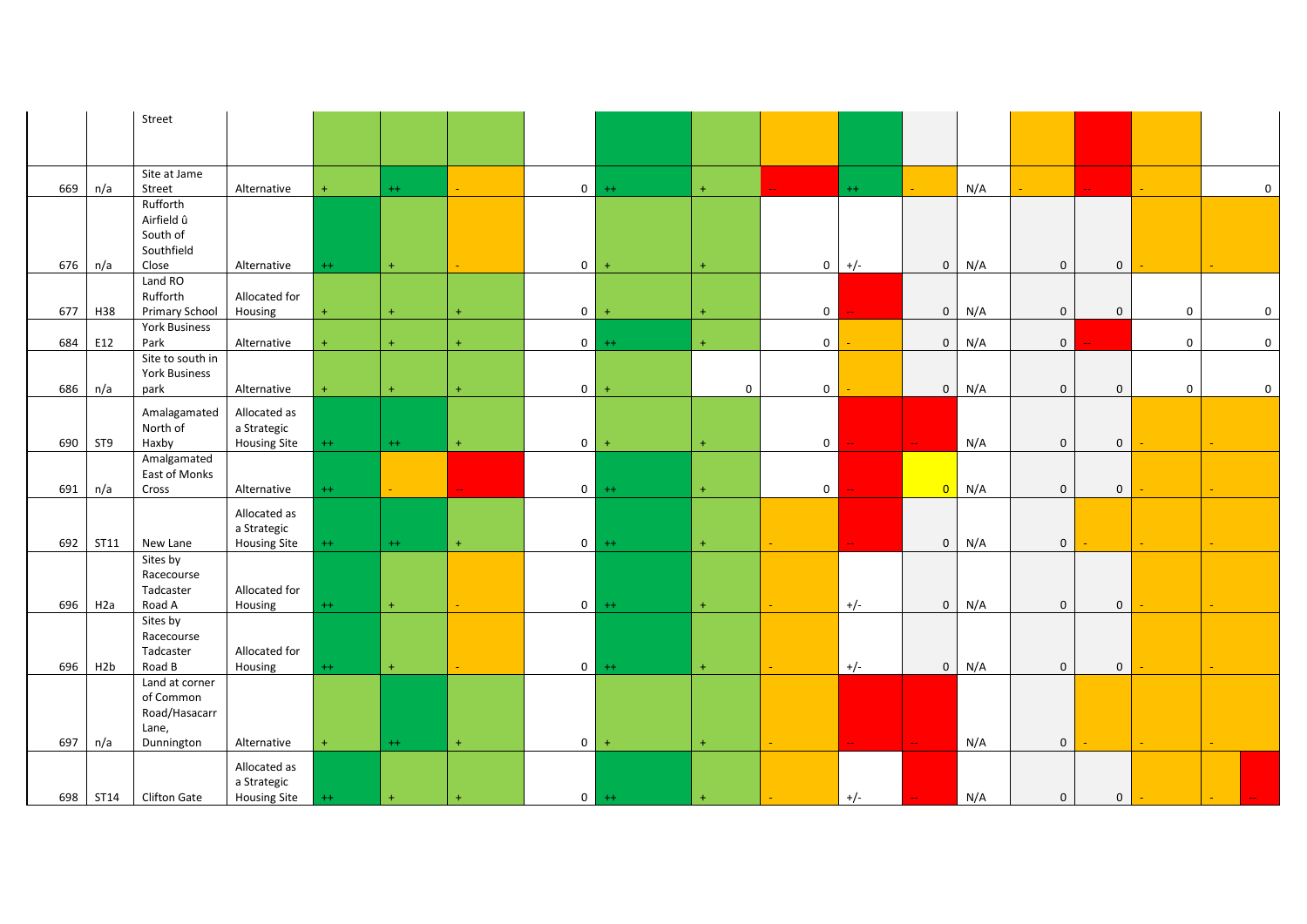|     |                  | Street                 |                     |           |           |                  |                |           |             |                |       |                |     |              |                |             |              |
|-----|------------------|------------------------|---------------------|-----------|-----------|------------------|----------------|-----------|-------------|----------------|-------|----------------|-----|--------------|----------------|-------------|--------------|
|     |                  |                        |                     |           |           |                  |                |           |             |                |       |                |     |              |                |             |              |
|     |                  |                        |                     |           |           |                  |                |           |             |                |       |                |     |              |                |             |              |
|     |                  | Site at Jame           |                     |           |           |                  |                |           |             |                |       |                |     |              |                |             |              |
| 669 | n/a              | Street                 | Alternative         | $+$       | $^{++}$   | $\omega_{\rm c}$ | $\overline{0}$ | $++$      | $+$         |                | $++$  |                | N/A |              |                |             | $\mathbf{0}$ |
|     |                  | Rufforth<br>Airfield û |                     |           |           |                  |                |           |             |                |       |                |     |              |                |             |              |
|     |                  | South of               |                     |           |           |                  |                |           |             |                |       |                |     |              |                |             |              |
|     |                  | Southfield             |                     |           |           |                  |                |           |             |                |       |                |     |              |                |             |              |
| 676 | n/a              | Close                  | Alternative         | $++$      | $+$       |                  | $\overline{0}$ | $\ddot{}$ | $\ddot{}$   | $\mathbf 0$    | $+/-$ | $\mathbf{0}$   | N/A | $\mathbf 0$  | $\mathsf 0$    |             |              |
|     |                  | Land RO                |                     |           |           |                  |                |           |             |                |       |                |     |              |                |             |              |
|     |                  | Rufforth               | Allocated for       |           |           |                  |                |           |             |                |       |                |     |              |                |             |              |
| 677 | H38              | <b>Primary School</b>  | Housing             | $\ddot{}$ | $\ddot{}$ |                  | $\overline{0}$ | $+$       | $\ddot{}$   | $\mathbf{0}$   |       | $\overline{0}$ | N/A | $\mathbf{0}$ | $\mathbf{0}$   | $\mathbf 0$ | $\mathbf 0$  |
|     |                  | York Business          |                     |           |           |                  |                |           |             |                |       |                |     |              |                |             |              |
| 684 | E12              | Park                   | Alternative         | $+$       | $+$       | $\ddot{}$        | $\overline{0}$ | $++$      | $\pm$       | $\mathbf 0$    |       | $\overline{0}$ | N/A | $\mathbf 0$  |                | $\mathbf 0$ | $\mathbf 0$  |
|     |                  | Site to south in       |                     |           |           |                  |                |           |             |                |       |                |     |              |                |             |              |
|     |                  | <b>York Business</b>   |                     |           |           |                  |                |           |             |                |       |                |     |              |                |             |              |
| 686 | n/a              | park                   | Alternative         | $+$       | $+$       | $+$              | $\overline{0}$ | $+$       | $\mathbf 0$ | $\mathbf{0}$   |       | $\overline{0}$ | N/A | $\mathbf 0$  | $\mathbf 0$    | $\mathbf 0$ | $\mathbf 0$  |
|     |                  | Amalagamated           | Allocated as        |           |           |                  |                |           |             |                |       |                |     |              |                |             |              |
|     |                  | North of               | a Strategic         |           |           |                  |                |           |             |                |       |                |     |              |                |             |              |
| 690 | ST <sub>9</sub>  | Haxby                  | <b>Housing Site</b> | $++$      | $^{++}$   | $+$              | 0 <sup>1</sup> | $+$       | $+$         | $\overline{0}$ |       | 44             | N/A | $\mathbf 0$  | $\mathbf 0$    |             |              |
|     |                  | Amalgamated            |                     |           |           |                  |                |           |             |                |       |                |     |              |                |             |              |
| 691 | n/a              | East of Monks<br>Cross | Alternative         | $^{++}$   |           |                  | $\overline{0}$ | $++$      | $\pm$       | $\overline{0}$ |       | $\overline{0}$ | N/A | $\mathbf{0}$ | $\overline{0}$ |             |              |
|     |                  |                        |                     |           |           |                  |                |           |             |                |       |                |     |              |                |             |              |
|     |                  |                        | Allocated as        |           |           |                  |                |           |             |                |       |                |     |              |                |             |              |
|     |                  |                        | a Strategic         |           |           |                  |                |           |             |                |       |                |     |              |                |             |              |
| 692 | <b>ST11</b>      | New Lane               | <b>Housing Site</b> | $^{++}$   | $^{++}$   | $+$              | $\overline{0}$ | $++$      | $\pm$       |                |       | $\mathbf 0$    | N/A | $\mathbf 0$  |                | ÷.          |              |
|     |                  | Sites by<br>Racecourse |                     |           |           |                  |                |           |             |                |       |                |     |              |                |             |              |
|     |                  | Tadcaster              | Allocated for       |           |           |                  |                |           |             |                |       |                |     |              |                |             |              |
| 696 | H <sub>2</sub> a | Road A                 | Housing             | $^{++}$   | $\pm$     |                  | 0              | $++$      | $\pm$       |                | $+/-$ | $\overline{0}$ | N/A | $\mathbf 0$  | $\mathsf 0$    |             |              |
|     |                  | Sites by               |                     |           |           |                  |                |           |             |                |       |                |     |              |                |             |              |
|     |                  | Racecourse             |                     |           |           |                  |                |           |             |                |       |                |     |              |                |             |              |
|     |                  | Tadcaster              | Allocated for       |           |           |                  |                |           |             |                |       |                |     |              |                |             |              |
| 696 | H2b              | Road B                 | Housing             | $++$      | $\pm$     |                  | 0              | $++$      | $\pm$       |                | $+/-$ | $\overline{0}$ | N/A | $\mathbf 0$  | $\overline{0}$ |             |              |
|     |                  | Land at corner         |                     |           |           |                  |                |           |             |                |       |                |     |              |                |             |              |
|     |                  | of Common              |                     |           |           |                  |                |           |             |                |       |                |     |              |                |             |              |
|     |                  | Road/Hasacarr<br>Lane, |                     |           |           |                  |                |           |             |                |       |                |     |              |                |             |              |
| 697 | n/a              | Dunnington             | Alternative         | $+$       | $++$      | $+$              | $\overline{0}$ | $+$       | $+$         |                |       |                | N/A | $\mathbf 0$  |                |             |              |
|     |                  |                        |                     |           |           |                  |                |           |             |                |       |                |     |              |                |             |              |
|     |                  |                        | Allocated as        |           |           |                  |                |           |             |                |       |                |     |              |                |             |              |
| 698 | ST14             |                        | a Strategic         |           |           |                  |                | $0 + +$   |             |                | $+/-$ |                | N/A |              | $\mathbf 0$    |             |              |
|     |                  | <b>Clifton Gate</b>    | <b>Housing Site</b> | $^{++}$   | $\ddot{}$ |                  |                |           | $\ddot{}$   |                |       |                |     | $\mathbf 0$  |                |             |              |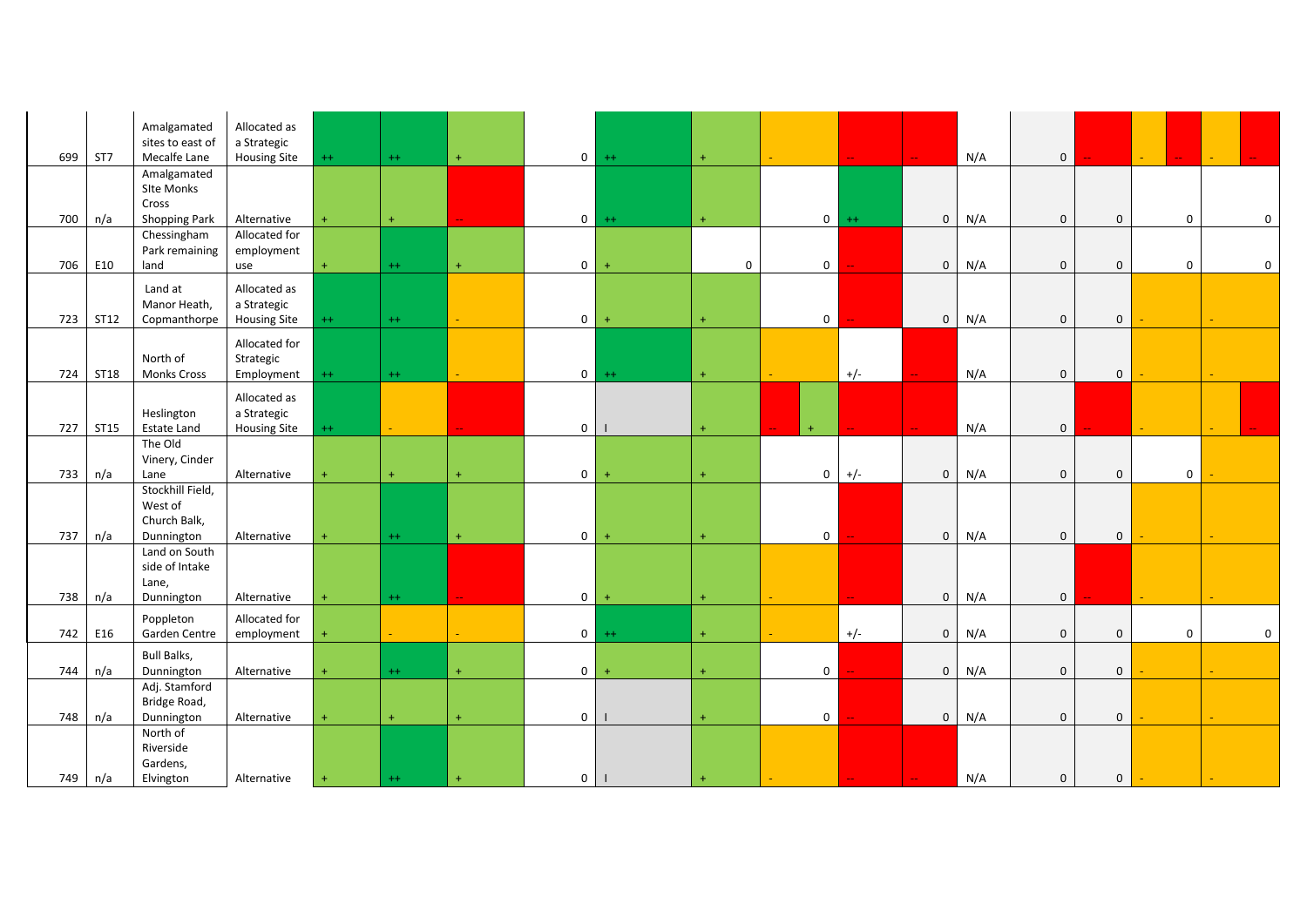|     |             | Amalgamated                    | Allocated as                       |           |           |            |                |           |             |                |                             |                |     |              |                |             |             |
|-----|-------------|--------------------------------|------------------------------------|-----------|-----------|------------|----------------|-----------|-------------|----------------|-----------------------------|----------------|-----|--------------|----------------|-------------|-------------|
|     |             | sites to east of               | a Strategic                        |           |           |            |                |           |             |                |                             |                |     |              |                |             |             |
| 699 | ST7         | Mecalfe Lane<br>Amalgamated    | <b>Housing Site</b>                | $++$      | $^{++}$   | $\pm$      | $\overline{0}$ | $++$      | $\pm$       |                |                             |                | N/A | $\mathbf{0}$ |                |             |             |
|     |             | Site Monks                     |                                    |           |           |            |                |           |             |                |                             |                |     |              |                |             |             |
|     |             | Cross                          |                                    |           |           |            |                |           |             |                |                             |                |     |              |                |             |             |
| 700 | n/a         | <b>Shopping Park</b>           | Alternative                        |           | $+$       |            | $\circ$        | $++$      | $+$         | $\overline{0}$ | $++$                        | $\overline{0}$ | N/A | $\mathbf{0}$ | $\mathbf 0$    | $\mathbf 0$ | 0           |
|     |             | Chessingham                    | Allocated for                      |           |           |            |                |           |             |                |                             |                |     |              |                |             |             |
| 706 | E10         | Park remaining<br>land         | employment<br>use                  | $\ddot{}$ | $^{++}$   | $\pm$      | $\overline{0}$ | $+$       | $\mathbf 0$ | $\mathbf 0$    |                             | $\overline{0}$ | N/A | $\mathbf 0$  | $\mathbf 0$    | $\mathbf 0$ | $\mathbf 0$ |
|     |             |                                |                                    |           |           |            |                |           |             |                |                             |                |     |              |                |             |             |
|     |             | Land at                        | Allocated as                       |           |           |            |                |           |             |                |                             |                |     |              |                |             |             |
| 723 | <b>ST12</b> | Manor Heath,<br>Copmanthorpe   | a Strategic<br><b>Housing Site</b> | $^{++}$   | $^{++}$   |            | $\overline{0}$ | $+$       | $+$         | $\mathbf{0}$   |                             | $\overline{0}$ | N/A | $\mathbf 0$  | $\mathbf 0$    |             |             |
|     |             |                                |                                    |           |           |            |                |           |             |                |                             |                |     |              |                |             |             |
|     |             |                                | Allocated for                      |           |           |            |                |           |             |                |                             |                |     |              |                |             |             |
| 724 | <b>ST18</b> | North of<br><b>Monks Cross</b> | Strategic<br>Employment            | $^{++}$   | $^{++}$   |            | $\circ$        | $++$      | $+$         |                | $+/-$                       |                | N/A | $\mathbf 0$  | $\mathbf 0$    |             |             |
|     |             |                                |                                    |           |           |            |                |           |             |                |                             |                |     |              |                |             |             |
|     |             | Heslington                     | Allocated as<br>a Strategic        |           |           |            |                |           |             |                |                             |                |     |              |                |             |             |
| 727 | <b>ST15</b> | <b>Estate Land</b>             | <b>Housing Site</b>                | $^{++}$   | a.        |            | $\mathbf{0}$   |           | $\ddot{}$   | $\ddot{}$      |                             |                | N/A | $\mathbf 0$  |                |             |             |
|     |             | The Old                        |                                    |           |           |            |                |           |             |                |                             |                |     |              |                |             |             |
|     |             | Vinery, Cinder                 |                                    |           |           |            |                |           |             |                |                             |                |     |              |                |             |             |
| 733 | n/a         | Lane                           | Alternative                        | $\ddot{}$ | $\ddot{}$ | $\ddot{}$  | $\overline{0}$ | $+$       | $+$         | $\overline{0}$ | $+/-$                       | $\overline{0}$ | N/A | $\mathbf 0$  | $\mathbf 0$    | $\mathbf 0$ |             |
|     |             | Stockhill Field,               |                                    |           |           |            |                |           |             |                |                             |                |     |              |                |             |             |
|     |             | West of<br>Church Balk,        |                                    |           |           |            |                |           |             |                |                             |                |     |              |                |             |             |
| 737 | n/a         | Dunnington                     | Alternative                        |           | $^{++}$   | $\ddot{+}$ | $\overline{0}$ | $+$       | $\ddot{}$   | $\mathbf{0}$   |                             | $\overline{0}$ | N/A | $\mathbf 0$  | $\mathbf 0$    |             |             |
|     |             | Land on South                  |                                    |           |           |            |                |           |             |                |                             |                |     |              |                |             |             |
|     |             | side of Intake                 |                                    |           |           |            |                |           |             |                |                             |                |     |              |                |             |             |
|     |             | Lane,                          |                                    |           |           |            |                |           |             |                |                             |                |     |              |                |             |             |
| 738 | n/a         | Dunnington                     | Alternative                        | $+$       | $++$      |            | $\mathbf{0}$   | $+$       | $\ddot{}$   |                |                             | $\overline{0}$ | N/A | $\mathbf 0$  |                |             |             |
|     |             | Poppleton                      | Allocated for                      |           |           |            |                |           |             |                |                             |                |     |              |                |             |             |
| 742 | E16         | Garden Centre                  | employment                         | $\ddot{}$ |           | ÷.         | $\overline{0}$ | $++$      | $\ddot{}$   |                | $+/-$                       | $\mathbf{0}$   | N/A | $\mathbf 0$  | $\mathsf 0$    | $\mathbf 0$ | $\mathbf 0$ |
|     |             | <b>Bull Balks,</b>             |                                    |           |           |            |                |           |             |                |                             |                |     |              |                |             |             |
| 744 | n/a         | Dunnington                     | Alternative                        | $\ddot{}$ | $++$      | $\ddot{}$  | $\mathbf{0}$   | $\ddot{}$ | $+$         | $\overline{0}$ |                             | $\overline{0}$ | N/A | $\mathbf 0$  | $\mathbf 0$    |             |             |
|     |             | Adj. Stamford<br>Bridge Road,  |                                    |           |           |            |                |           |             |                |                             |                |     |              |                |             |             |
| 748 | n/a         | Dunnington                     | Alternative                        | $+$       | $+$       | $+$        | $\overline{0}$ |           | $\ddot{}$   | $\overline{0}$ |                             | $\mathbf{0}$   | N/A | $\mathbf{0}$ | $\mathbf 0$    |             |             |
|     |             | North of                       |                                    |           |           |            |                |           |             |                |                             |                |     |              |                |             |             |
|     |             | Riverside                      |                                    |           |           |            |                |           |             |                |                             |                |     |              |                |             |             |
|     |             | Gardens,                       |                                    |           |           |            |                |           |             |                |                             |                |     |              |                |             |             |
| 749 | n/a         | Elvington                      | Alternative                        | $\ddot{}$ | $^{++}$   | $\ddot{}$  | $\circ$        |           | $\ddot{}$   |                | $\rightarrow$ $\rightarrow$ | $\sim$         | N/A | $\mathbf 0$  | $\overline{0}$ |             |             |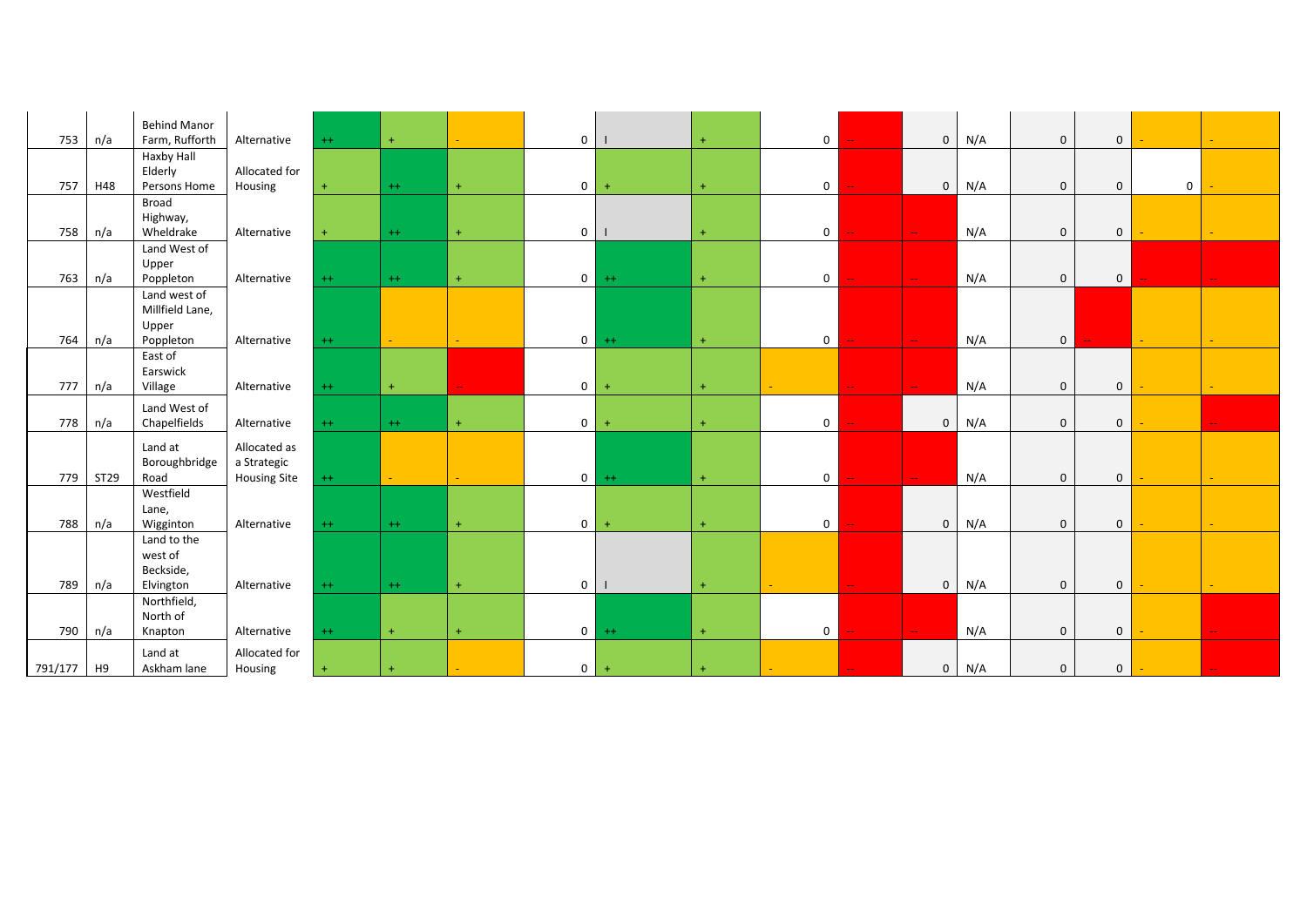| 753     | n/a  | <b>Behind Manor</b><br>Farm, Rufforth | Alternative         | $++$    | $\ddot{}$        |           | $\mathbf 0$    |           | $\ddot{}$ | $\mathbf 0$    | $\mathbf{0}$                | N/A | $\mathbf 0$  | $\mathbf 0$    |             |               |
|---------|------|---------------------------------------|---------------------|---------|------------------|-----------|----------------|-----------|-----------|----------------|-----------------------------|-----|--------------|----------------|-------------|---------------|
|         |      | Haxby Hall                            |                     |         |                  |           |                |           |           |                |                             |     |              |                |             |               |
|         |      | Elderly                               | Allocated for       |         |                  |           |                |           |           |                |                             |     |              |                |             |               |
| 757     | H48  | Persons Home                          | Housing             |         | $++$             | $+$       | $\mathbf 0$    | $\ddot{}$ | $\ddot{}$ | $\mathbf 0$    | $\overline{0}$              | N/A | $\mathbf{0}$ | $\mathbf 0$    | $\mathbf 0$ |               |
|         |      | Broad                                 |                     |         |                  |           |                |           |           |                |                             |     |              |                |             |               |
|         |      | Highway,                              |                     |         |                  |           |                |           |           |                |                             |     |              |                |             |               |
| 758     | n/a  | Wheldrake                             | Alternative         |         | $^{++}$          | $+$       | $\mathbf 0$    |           | $\ddot{}$ | $\mathbf 0$    | $\mathbb{Z}^{\mathbb{Z}_2}$ | N/A | $\mathbf 0$  | $\mathbf 0$    |             |               |
|         |      | Land West of                          |                     |         |                  |           |                |           |           |                |                             |     |              |                |             |               |
|         |      | Upper                                 |                     |         |                  |           |                |           |           |                |                             |     |              |                |             |               |
| 763     | n/a  | Poppleton                             | Alternative         | $++$    | $++$             | $+$       | $\mathbf{0}$   | $++$      | $+$       | $\mathbf 0$    | $\mathcal{L}_{\mathcal{F}}$ | N/A | $\mathbf 0$  | $\overline{0}$ |             | $\sim$ $\sim$ |
|         |      | Land west of                          |                     |         |                  |           |                |           |           |                |                             |     |              |                |             |               |
|         |      | Millfield Lane,                       |                     |         |                  |           |                |           |           |                |                             |     |              |                |             |               |
|         |      | Upper                                 |                     |         |                  |           |                |           |           |                |                             |     |              |                |             |               |
| 764     | n/a  | Poppleton                             | Alternative         | $^{++}$ | $\Delta \sim 10$ |           | $\overline{0}$ | $^{++}$   | $+$       | $\mathbf 0$    | $\sim$                      | N/A | $\mathbf{0}$ |                | $\equiv$    |               |
|         |      | East of                               |                     |         |                  |           |                |           |           |                |                             |     |              |                |             |               |
|         |      | Earswick                              |                     |         |                  |           |                |           |           |                | $\mathbb{Z}^{\mathbb{Z}^n}$ |     |              |                |             |               |
| 777     | n/a  | Village                               | Alternative         | $^{++}$ | $+$              |           | $\mathbf 0$    | $\ddot{}$ | $+$       |                |                             | N/A | $\mathbf 0$  | $\mathbf 0$    |             |               |
|         |      | Land West of                          |                     |         |                  |           |                |           |           |                |                             |     |              |                |             |               |
| 778     | n/a  | Chapelfields                          | Alternative         | $++$    | $++$             | $+$       | $\mathbf 0$    | $+$       | $+$       | $\mathbf 0$    | $\overline{0}$              | N/A | $\mathbf 0$  | $\mathbf 0$    |             |               |
|         |      | Land at                               | Allocated as        |         |                  |           |                |           |           |                |                             |     |              |                |             |               |
|         |      | Boroughbridge                         | a Strategic         |         |                  |           |                |           |           |                |                             |     |              |                |             |               |
| 779     | ST29 | Road                                  | <b>Housing Site</b> | $^{++}$ | $\Delta \sim 10$ |           | $\overline{0}$ | $^{++}$   | $+$       | $\mathbf 0$    | $\mathbb{L} \mathbb{L}$     | N/A | $\mathbf 0$  | $\mathbf 0$    |             | $\sim$        |
|         |      | Westfield                             |                     |         |                  |           |                |           |           |                |                             |     |              |                |             |               |
|         |      | Lane,                                 |                     |         |                  |           |                |           |           |                |                             |     |              |                |             |               |
| 788     | n/a  | Wigginton                             | Alternative         | $++$    | $++$             | $\ddot{}$ | $\overline{0}$ | $\ddot{}$ | $\ddot{}$ | $\mathbf 0$    | $\mathbf{0}$                | N/A | $\mathbf{0}$ | $\mathbf 0$    |             |               |
|         |      | Land to the                           |                     |         |                  |           |                |           |           |                |                             |     |              |                |             |               |
|         |      | west of                               |                     |         |                  |           |                |           |           |                |                             |     |              |                |             |               |
|         |      | Beckside,                             |                     |         |                  |           |                |           |           |                |                             |     |              |                |             |               |
| 789     | n/a  | Elvington                             | Alternative         | $^{++}$ | $++$             | $+$       | $\overline{0}$ |           |           |                | $\mathbf 0$                 | N/A | $\mathbf 0$  | $\mathbf 0$    |             |               |
|         |      | Northfield,                           |                     |         |                  |           |                |           |           |                |                             |     |              |                |             |               |
|         |      | North of                              |                     |         |                  |           |                |           |           |                |                             |     |              |                |             |               |
| 790     | n/a  | Knapton                               | Alternative         | $^{++}$ | $+$              | $+$       | $\overline{0}$ | $^{++}$   | $\ddot{}$ | $\overline{0}$ | $\Delta\omega$              | N/A | $\mathbf 0$  | $\mathbf 0$    |             |               |
|         |      | Land at                               | Allocated for       |         |                  |           |                |           |           |                |                             |     |              |                |             |               |
| 791/177 | H9   | Askham lane                           | Housing             |         |                  |           | $\mathbf{0}$   | $+$       |           |                | $\mathbf 0$                 | N/A | $\mathbf 0$  | $\mathbf 0$    |             |               |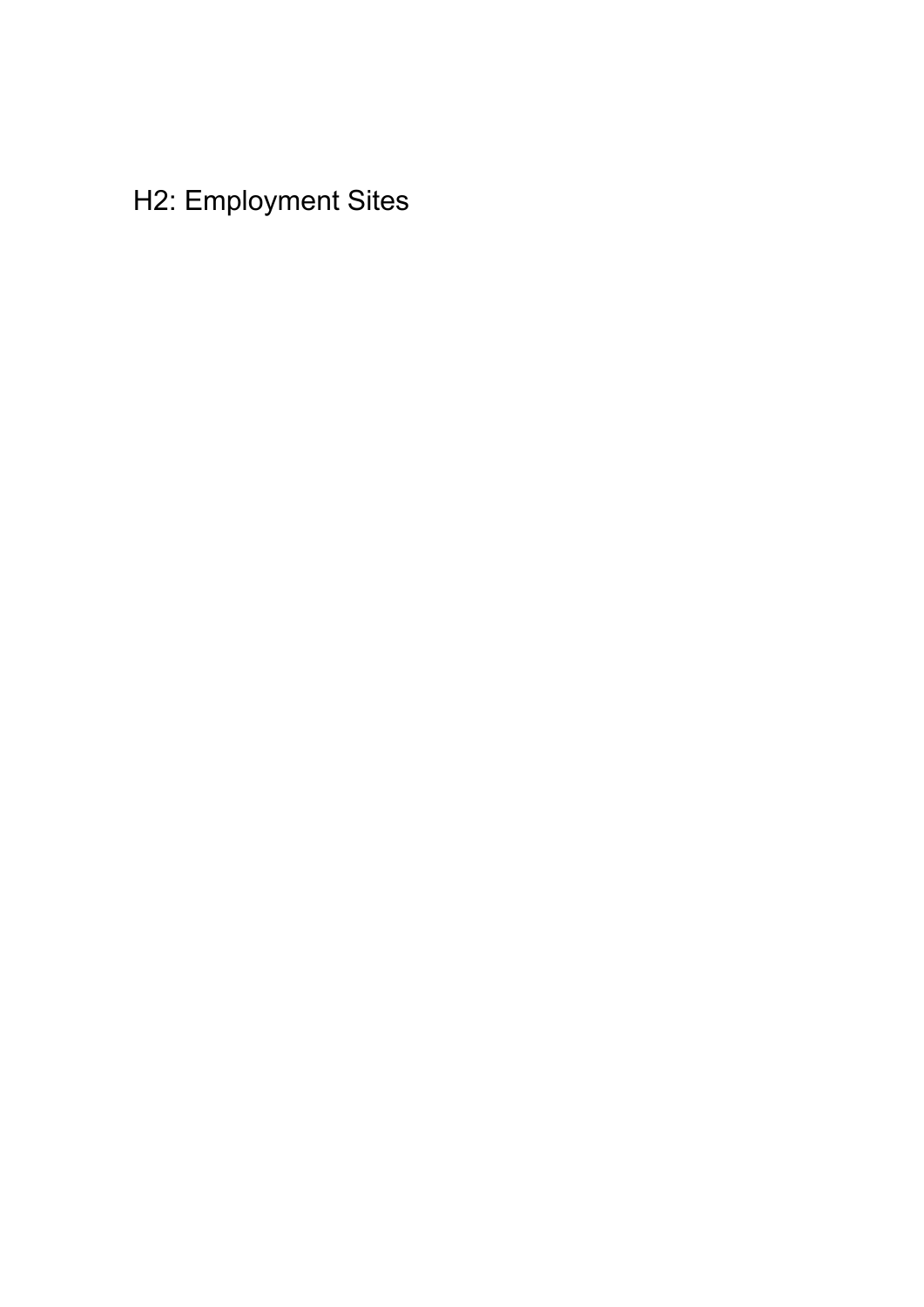## H2: Employment Sites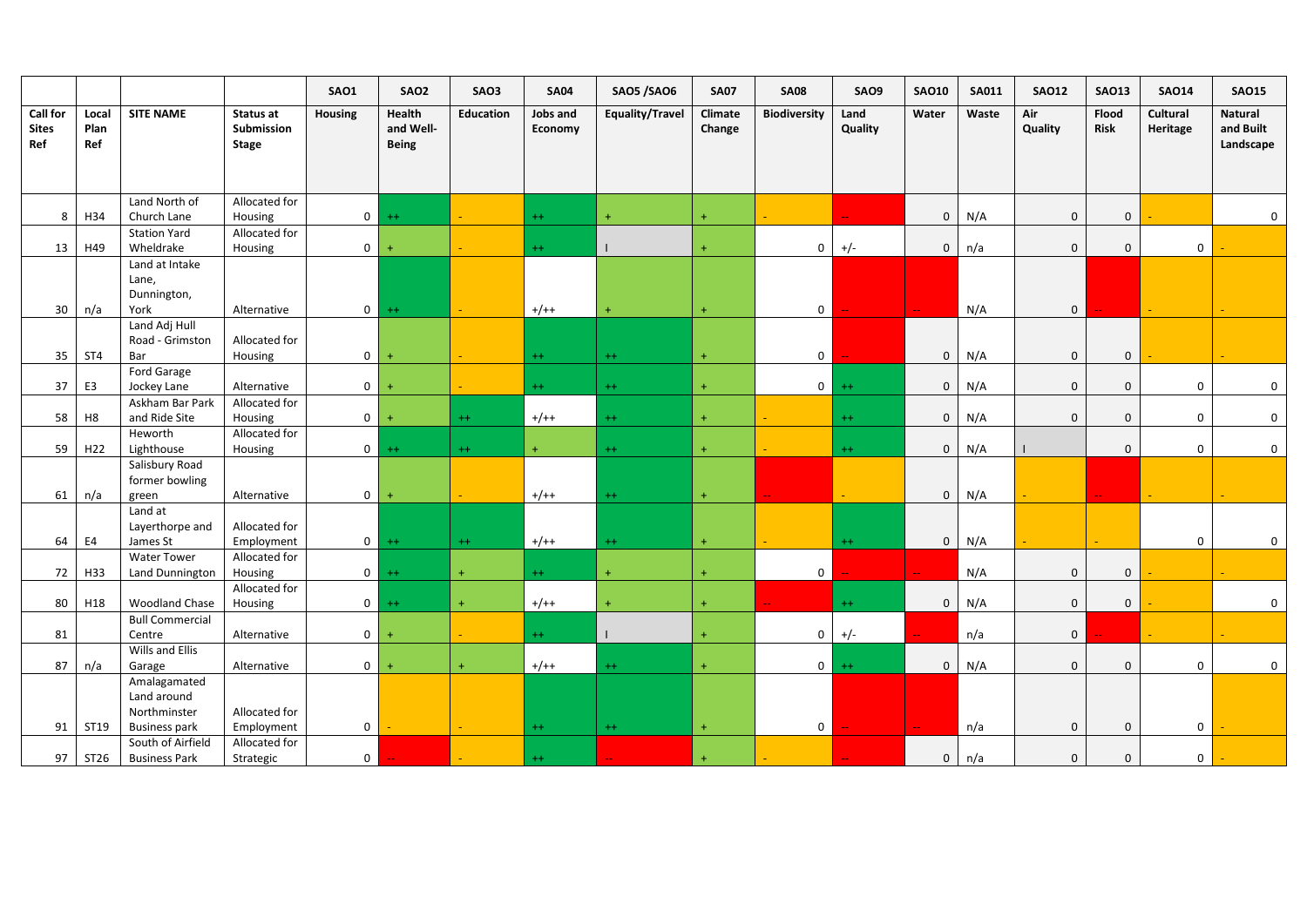|                                 |                      |                                                     |                                  | SAO1                | SAO <sub>2</sub>                    | SAO3             | <b>SA04</b>         | <b>SAO5 /SAO6</b> | <b>SA07</b>       | <b>SA08</b>         | <b>SAO9</b>     | <b>SAO10</b>               | <b>SA011</b> | <b>SAO12</b>     | <b>SAO13</b>         | <b>SAO14</b>         | <b>SAO15</b>                             |
|---------------------------------|----------------------|-----------------------------------------------------|----------------------------------|---------------------|-------------------------------------|------------------|---------------------|-------------------|-------------------|---------------------|-----------------|----------------------------|--------------|------------------|----------------------|----------------------|------------------------------------------|
| Call for<br><b>Sites</b><br>Ref | Local<br>Plan<br>Ref | <b>SITE NAME</b>                                    | Status at<br>Submission<br>Stage | <b>Housing</b>      | Health<br>and Well-<br><b>Being</b> | <b>Education</b> | Jobs and<br>Economy | Equality/Travel   | Climate<br>Change | <b>Biodiversity</b> | Land<br>Quality | Water                      | Waste        | Air<br>Quality   | Flood<br><b>Risk</b> | Cultural<br>Heritage | <b>Natural</b><br>and Built<br>Landscape |
|                                 |                      |                                                     |                                  |                     |                                     |                  |                     |                   |                   |                     |                 |                            |              |                  |                      |                      |                                          |
| 8                               | H34                  | Land North of<br>Church Lane                        | Allocated for<br>Housing         | $\overline{0}$      | $^{++}$                             |                  | $++$                | ÷                 | $+$               |                     |                 | $\overline{0}$             | N/A          | $\mathbf 0$      | $\mathbf 0$          |                      | $\mathbf 0$                              |
| 13                              | H49                  | <b>Station Yard</b><br>Wheldrake                    | Allocated for<br>Housing         | $\mathbf 0$         | $\ddot{}$                           |                  | $++$                |                   |                   | $\mathbf{0}$        | $+/-$           | $\overline{0}$             | n/a          | $\mathbf{0}$     | $\mathbf{0}$         | $\mathbf 0$          |                                          |
| 30                              | n/a                  | Land at Intake<br>Lane,<br>Dunnington,<br>York      | Alternative                      | $\mathbf 0$         | $++$                                | a.               | $+/++$              | $\ddot{}$         | $+$               | $\mathbf{0}$        |                 | $\mathcal{L}_{\mathbf{m}}$ | N/A          | $\overline{0}$   |                      |                      |                                          |
| 35                              | ST4                  | Land Adj Hull<br>Road - Grimston<br>Bar             | Allocated for<br>Housing         | $\mathbf 0$         | $\ddot{}$                           |                  | $^{++}$             | $++$              | $+$               | $\mathbf{0}$        |                 | $\overline{0}$             | N/A          | $\boldsymbol{0}$ | $\mathbf 0$          |                      |                                          |
| 37                              | E3                   | Ford Garage<br>Jockey Lane                          | Alternative                      | $\mathbf 0$         | $\ddot{}$                           |                  | $^{++}$             | $++$              | $\ddot{}$         | $\overline{0}$      | $++$            | $\overline{0}$             | N/A          | $\mathbf 0$      | $\mathbf{0}$         | $\mathbf 0$          | $\mathbf 0$                              |
| 58                              | H <sub>8</sub>       | Askham Bar Park<br>and Ride Site                    | Allocated for<br>Housing         | $\mathbf 0$         | $\ddot{}$                           | $++$             | $+/++$              | $++$              | $+$               |                     | $++$            | $\overline{0}$             | N/A          | $\mathbf{0}$     | $\mathbf{0}$         | $\mathbf 0$          | $\mathbf{0}$                             |
| 59                              | H <sub>22</sub>      | Heworth<br>Lighthouse                               | Allocated for<br>Housing         | $\mathbf{0}$        | $^{++}$                             | $^{++}$          | $+$                 | $++$              | $+$               |                     | $++$            | $\mathbf 0$                | N/A          |                  | $\mathbf{0}$         | $\boldsymbol{0}$     | $\overline{0}$                           |
| 61                              | n/a                  | Salisbury Road<br>former bowling<br>green           | Alternative                      | $\mathbf{0}$        | $\ddot{}$                           |                  | $+/++$              | $++$              | $+$               |                     |                 | $\overline{0}$             | N/A          |                  |                      |                      |                                          |
| 64                              | E4                   | Land at<br>Layerthorpe and<br>James St              | Allocated for<br>Employment      | $\mathbf{0}$        | $^{++}$                             | $^{++}$          | $+/++$              | $++$              | $+$               |                     | $++$            | $\mathbf 0$                | N/A          |                  |                      | $\mathbf 0$          | $\mathbf 0$                              |
| 72                              | H33                  | Water Tower<br>Land Dunnington                      | Allocated for<br>Housing         | $\mathbf{0}$        | $^{++}$                             | $+$              | $++$                | $\ddot{}$         | $+$               | $\overline{0}$      |                 |                            | N/A          | $\mathbf 0$      | $\mathbf 0$          |                      |                                          |
| 80                              | H18                  | Woodland Chase                                      | Allocated for<br>Housing         | $\overline{0}$      | $^{++}$                             | $+$              | $+/++$              |                   | $+$               |                     | $++$            | $\overline{0}$             | N/A          | $\mathbf 0$      | $\mathbf 0$          |                      | $\mathbf 0$                              |
| 81                              |                      | <b>Bull Commercial</b><br>Centre                    | Alternative                      | $\mathbf 0$         | $\ddot{}$                           |                  | $++$                |                   |                   | $\mathbf{0}$        | $+/-$           |                            | n/a          | $\overline{0}$   |                      |                      |                                          |
| 87                              | n/a                  | Wills and Ellis<br>Garage<br>Amalagamated           | Alternative                      | $\mathbf 0$         |                                     | $\ddot{}$        | $+/++$              | $+ +$             | $\ddot{}$         | $\overline{0}$      | $++$            | $\mathbf 0$                | N/A          | $\overline{0}$   | $\mathbf{0}$         | $\mathbf 0$          | $\overline{0}$                           |
| 91                              | ST19                 | Land around<br>Northminster<br><b>Business park</b> | Allocated for<br>Employment      | $\mathsf{O}\xspace$ |                                     | ÷.               | $++$                | $++$              | $\ddot{}$         | $\mathbf{0}$        |                 |                            | n/a          | $\mathbf{0}$     | $\mathbf 0$          | $\boldsymbol{0}$     |                                          |
| 97                              | ST26                 | South of Airfield<br><b>Business Park</b>           | Allocated for<br>Strategic       | $\mathbf{0}$        |                                     |                  | $^{++}$             |                   |                   |                     |                 | Щ.<br>$\mathbf{0}$         | n/a          | $\mathbf 0$      | $\mathbf 0$          | $\mathbf 0$          |                                          |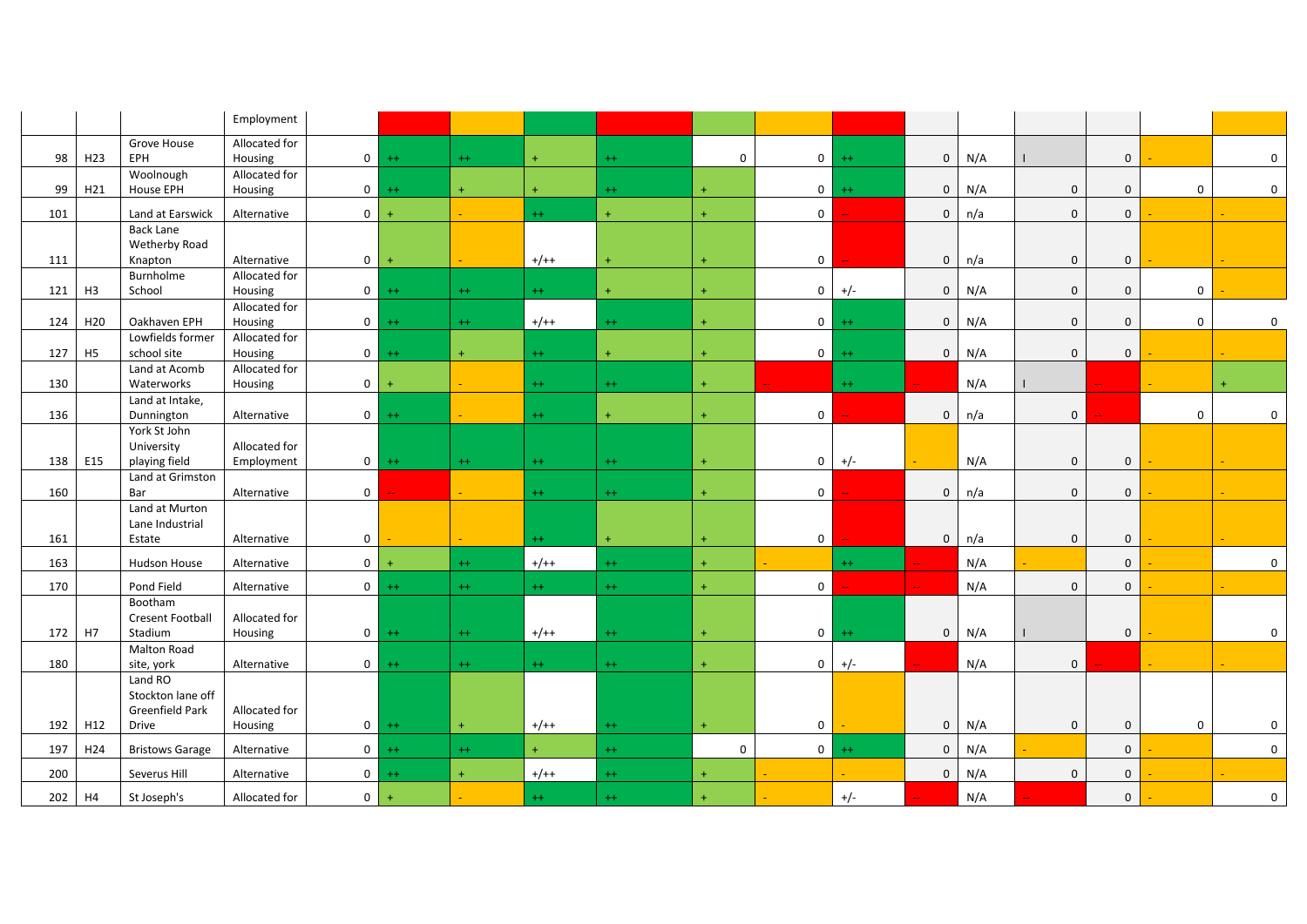|     |                 |                            | Employment    |                |         |              |           |           |                  |                |         |              |     |              |              |                  |              |
|-----|-----------------|----------------------------|---------------|----------------|---------|--------------|-----------|-----------|------------------|----------------|---------|--------------|-----|--------------|--------------|------------------|--------------|
|     |                 | Grove House                | Allocated for |                |         |              |           |           |                  |                |         |              |     |              |              |                  |              |
| 98  | H <sub>23</sub> | <b>EPH</b>                 | Housing       |                | $0$ ++  | $++$         | $\ddot{}$ | $^{++}$   | $\mathbf 0$      | 0 <sup>1</sup> | $++$    | $\mathbf 0$  | N/A |              | $\mathbf 0$  |                  | $\mathbf 0$  |
|     |                 | Woolnough                  | Allocated for |                |         |              |           |           |                  |                |         |              |     |              |              |                  |              |
| 99  | H21             | <b>House EPH</b>           | Housing       | $\circ$        | $++$    | $\leftarrow$ | $+$       | $^{++}$   | $\ddot{}$        | $\mathbf 0$    | $^{++}$ | $\mathbf 0$  | N/A | $\mathbf 0$  | $\mathbf 0$  | $\mathbf 0$      | $\mathbf 0$  |
| 101 |                 | Land at Earswick           | Alternative   | $\overline{0}$ | $+$     |              | $^{++}$   | $+$       | $\ddot{}$        | $\mathbf{0}$   |         | $\mathbf{0}$ | n/a | $\mathbf{0}$ | $\mathbf{0}$ |                  |              |
|     |                 | <b>Back Lane</b>           |               |                |         |              |           |           |                  |                |         |              |     |              |              |                  |              |
| 111 |                 | Wetherby Road<br>Knapton   | Alternative   | $\overline{0}$ | $+$     |              | $+/++$    |           | $\ddot{}$        | $\mathbf 0$    |         | $\mathbf 0$  | n/a | $\mathbf 0$  | $\mathbf 0$  |                  |              |
|     |                 | Burnholme                  | Allocated for |                |         |              |           |           |                  |                |         |              |     |              |              |                  |              |
| 121 | H3              | School                     | Housing       | $\overline{0}$ | $++$    | $++$         | $++$      | $+$       | $+$              | $\mathbf{0}$   | $+/-$   | $\mathbf{0}$ | N/A | $\mathbf 0$  | $\mathbf 0$  | $\mathbf 0$      |              |
|     |                 |                            | Allocated for |                |         |              |           |           |                  |                |         |              |     |              |              |                  |              |
| 124 | H <sub>20</sub> | Oakhaven EPH               | Housing       |                | $0 + +$ | $++$         | $+/++$    | $^{++}$   | $+$              | 0 <sup>1</sup> | $^{++}$ | $\mathbf 0$  | N/A | $\mathbf 0$  | $\mathbf 0$  | $\mathbf 0$      | $\Omega$     |
|     |                 | Lowfields former           | Allocated for |                |         |              |           |           |                  |                |         |              |     |              |              |                  |              |
| 127 | H5              | school site                | Housing       | $\overline{0}$ | $++$    | $+$          | $++$      | $\ddot{}$ |                  | $\circ$        | $++$    | $\mathbf 0$  | N/A | $\mathbf 0$  | $\mathbf 0$  |                  |              |
|     |                 | Land at Acomb              | Allocated for |                |         |              |           |           |                  |                |         |              |     |              |              |                  |              |
| 130 |                 | Waterworks                 | Housing       | 0 <sup>1</sup> | $+$     |              | $++$      | $++$      | $+$              |                | $++$    |              | N/A |              |              |                  |              |
| 136 |                 | Land at Intake,            | Alternative   |                | $0$ ++  |              | $+ +$     | $\ddot{}$ | $\ddot{}$        | $\mathbf{0}$   |         | $\mathbf 0$  | n/a | $\mathbf 0$  |              | $\mathbf 0$      | $\mathbf 0$  |
|     |                 | Dunnington<br>York St John |               |                |         |              |           |           |                  |                |         |              |     |              |              |                  |              |
|     |                 | University                 | Allocated for |                |         |              |           |           |                  |                |         |              |     |              |              |                  |              |
| 138 | E15             | playing field              | Employment    |                | $0 + +$ | $++$         | $++$      | $++$      | $+$              | $\mathbf 0$    | $+/-$   |              | N/A | $\mathbf 0$  | $\mathbf 0$  |                  |              |
|     |                 | Land at Grimston           |               |                |         |              |           |           |                  |                |         |              |     |              |              |                  |              |
| 160 |                 | Bar                        | Alternative   | $\overline{0}$ |         | a.           | $++$      | $++$      | $+$              | $\mathbf 0$    |         | $\mathbf 0$  | n/a | $\mathbf 0$  | $\mathbf 0$  |                  |              |
|     |                 | Land at Murton             |               |                |         |              |           |           |                  |                |         |              |     |              |              |                  |              |
|     |                 | Lane Industrial            |               |                |         |              |           |           |                  |                |         |              |     |              |              |                  |              |
| 161 |                 | Estate                     | Alternative   | $\mathbf{0}$   |         |              | $++$      | $+$       | $\ddot{}$        | $\mathbf 0$    |         | $\mathbf 0$  | n/a | $\mathbf 0$  | $\mathsf 0$  |                  |              |
| 163 |                 | Hudson House               | Alternative   | $\overline{0}$ | $+$     | $^{++}$      | $+/++$    | $^{++}$   | $+$              |                | $++$    |              | N/A |              | $\mathbf 0$  |                  | $\mathbf{0}$ |
| 170 |                 | Pond Field                 | Alternative   |                | $0$ ++  | $++$         | $^{++}$   | $^{++}$   | $+$              | $\mathbf 0$    |         |              | N/A | $\mathbf 0$  | $\mathbf 0$  |                  |              |
|     |                 | Bootham                    |               |                |         |              |           |           |                  |                |         |              |     |              |              |                  |              |
|     |                 | <b>Cresent Football</b>    | Allocated for |                |         |              |           |           |                  |                |         |              |     |              |              |                  |              |
| 172 | H7              | Stadium<br>Malton Road     | Housing       |                | $0$ ++  | $^{++}$      | $+/++$    | $++$      | $+$              | $\mathbf{0}$   | $^{++}$ | $\mathbf 0$  | N/A |              | $\mathbf 0$  |                  | $\mathbf 0$  |
| 180 |                 | site, york                 | Alternative   | $\overline{0}$ | $++$    | $^{++}$      | $++$      | $^{++}$   | $+$              | 0              | $+/-$   |              | N/A | $\mathbf 0$  |              |                  |              |
|     |                 | Land RO                    |               |                |         |              |           |           |                  |                |         |              |     |              |              |                  |              |
|     |                 | Stockton lane off          |               |                |         |              |           |           |                  |                |         |              |     |              |              |                  |              |
|     |                 | Greenfield Park            | Allocated for |                |         |              |           |           |                  |                |         |              |     |              |              |                  |              |
| 192 | H12             | Drive                      | Housing       |                | $0 + +$ | $+$          | $+/++$    | $^{++}$   | $\ddot{}$        | 0              |         | $\mathsf 0$  | N/A | 0            | $\mathbf 0$  | $\boldsymbol{0}$ | 0            |
| 197 | H24             | <b>Bristows Garage</b>     | Alternative   |                | $0$ ++  | $++$         | $+$       | $^{++}$   | $\boldsymbol{0}$ | 0 <sup>1</sup> | $^{++}$ | $\mathbf 0$  | N/A |              | $\mathbf 0$  |                  | $\mathbf{0}$ |
| 200 |                 | Severus Hill               | Alternative   |                | $0$ ++  | $+$          | $+/++$    | $^{++}$   | $\ddot{}$        |                |         | $\mathbf 0$  | N/A | $\mathbf 0$  | $\mathbf 0$  |                  |              |
| 202 | H4              | St Joseph's                | Allocated for | $\overline{0}$ | $+$     |              | $++$      | $^{++}$   |                  |                | $+/-$   |              | N/A |              | $\mathbf 0$  |                  | $\mathbf 0$  |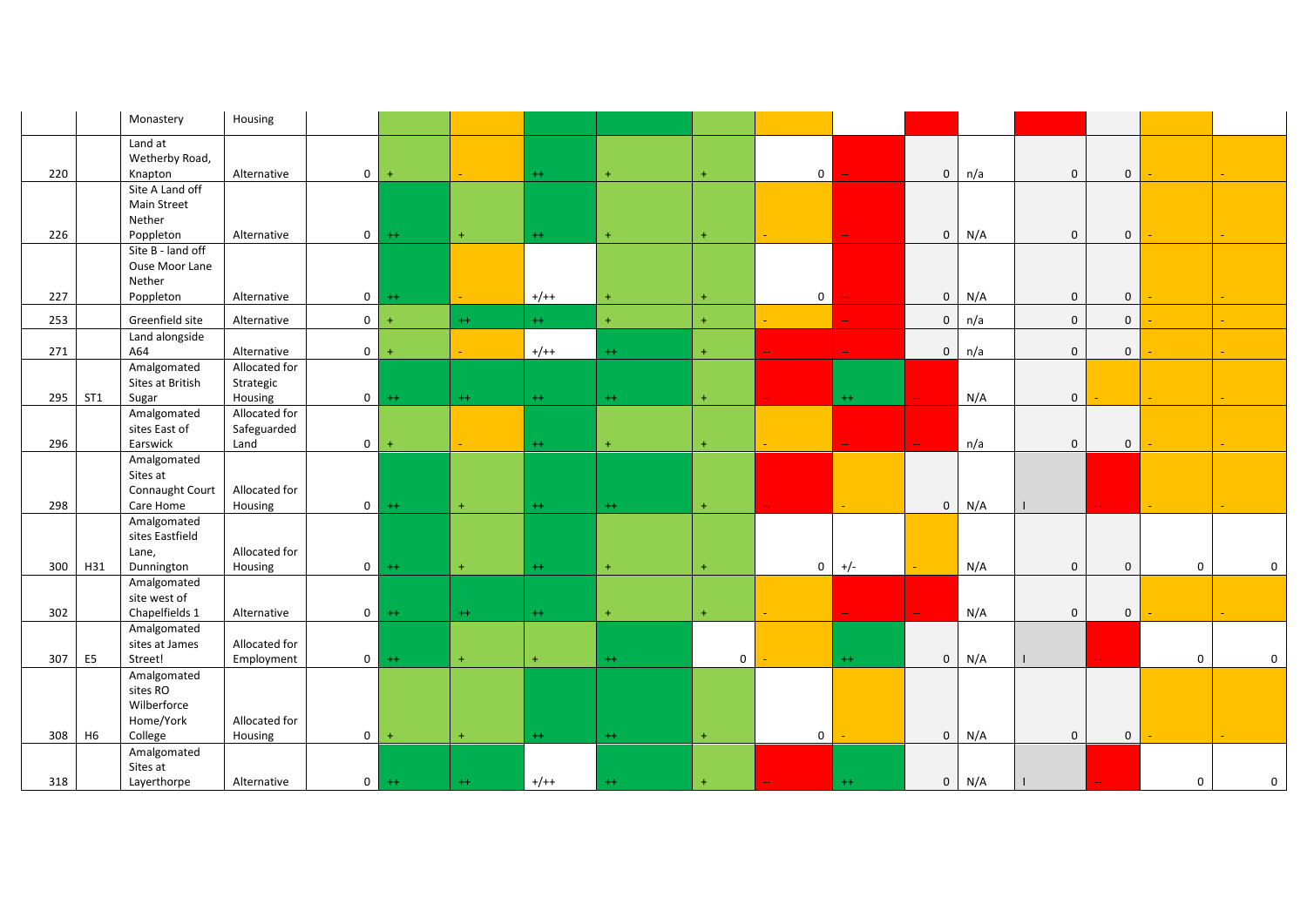|     |                 | Monastery                                           | Housing                                                 |           |         |           |           |           |                |         |                     |     |              |              |             |             |
|-----|-----------------|-----------------------------------------------------|---------------------------------------------------------|-----------|---------|-----------|-----------|-----------|----------------|---------|---------------------|-----|--------------|--------------|-------------|-------------|
| 220 |                 | Land at<br>Wetherby Road,<br>Knapton                | $\mathbf 0$<br>Alternative                              | $\ddot{}$ |         | $++$      | $+$       | $\ddot{}$ | $\overline{0}$ |         | $\mathbf 0$         | n/a | $\mathbf{0}$ | $\mathbf{0}$ |             |             |
|     |                 | Site A Land off<br><b>Main Street</b><br>Nether     |                                                         |           |         |           |           |           |                |         |                     |     |              |              |             |             |
| 226 |                 | Poppleton<br>Site B - land off                      | Alternative<br>$\overline{0}$                           | $++$      | $+$     | $++$      | $+$       | $\ddot{}$ |                |         | $\mathbf{0}$        | N/A | $\mathbf{0}$ | $\mathbf{0}$ |             |             |
| 227 |                 | Ouse Moor Lane<br>Nether<br>Poppleton               | Alternative<br>$\mathbf 0$                              | $++$      |         | $+/++$    | $+$       | $+$       | $\overline{0}$ |         | $\mathbf 0$         | N/A | $\mathbf 0$  | $\mathbf 0$  |             |             |
| 253 |                 | Greenfield site                                     | $\overline{0}$<br>Alternative                           | $+$       | $++$    | $++$      | $+$       | $\ddot{}$ |                |         | $\mathbf 0$         | n/a | $\mathbf 0$  | $\mathbf 0$  |             |             |
|     |                 | Land alongside                                      |                                                         |           |         |           |           |           |                |         |                     |     |              |              |             |             |
| 271 |                 | A64                                                 | Alternative<br>$\mathbf 0$                              |           |         | $+/++$    | $^{++}$   | $+$       |                |         | $\mathbf 0$         | n/a | $\mathbf 0$  | $\mathbf 0$  |             |             |
| 295 | ST <sub>1</sub> | Amalgomated<br>Sites at British<br>Sugar            | Allocated for<br>Strategic<br>$\overline{0}$<br>Housing | $++$      | $^{++}$ | $^{++}$   | $^{++}$   | $\pm$     |                | $^{++}$ |                     | N/A | $\mathbf 0$  |              |             |             |
|     |                 | Amalgomated                                         | Allocated for                                           |           |         |           |           |           |                |         |                     |     |              |              |             |             |
| 296 |                 | sites East of<br>Earswick                           | Safeguarded<br>Land<br>$\mathbf{0}$                     | $+$       |         | $^{++}$   | $\ddot{}$ | $\ddot{}$ |                |         |                     | n/a | $\mathbf 0$  | $\mathbf 0$  |             |             |
|     |                 | Amalgomated<br>Sites at<br>Connaught Court          | Allocated for                                           |           |         |           |           |           |                |         |                     |     |              |              |             |             |
| 298 |                 | Care Home<br>Amalgomated                            | $\mathbf{0}$<br>Housing                                 | $^{++}$   | $+$     | $^{++}$   | $^{++}$   | $\pm$     |                |         | $\mathsf{O}\xspace$ | N/A |              |              |             |             |
|     |                 | sites Eastfield<br>Lane,                            | Allocated for                                           |           |         |           |           |           |                |         |                     |     |              |              |             |             |
| 300 | H31             | Dunnington                                          | $\mathbf{0}$<br>Housing                                 | $++$      | $+$     | $^{++}$   | $\pm$     | $\ddot{}$ | $\overline{0}$ | $+/-$   |                     | N/A | $\mathbf 0$  | $\mathbf 0$  | $\mathbf 0$ | $\mathsf 0$ |
| 302 |                 | Amalgomated<br>site west of<br>Chapelfields 1       | $\mathbf{0}$<br>Alternative                             | $++$      | $++$    | $^{++}$   | $\pm$     | $\pm$     |                |         |                     | N/A | $\mathsf 0$  | $\mathbf 0$  |             |             |
|     |                 | Amalgomated<br>sites at James                       | Allocated for                                           |           |         |           |           |           |                |         |                     |     |              |              |             |             |
| 307 | E <sub>5</sub>  | Street!                                             | $\overline{0}$<br>Employment                            | $++$      | $+$     | $\ddot{}$ | $++$      | 0         |                | $++$    | $\mathbf 0$         | N/A |              |              | $\mathbf 0$ | $\mathbf 0$ |
|     |                 | Amalgomated<br>sites RO<br>Wilberforce<br>Home/York | Allocated for                                           |           |         |           |           |           |                |         |                     |     |              |              |             |             |
| 308 | H6              | College<br>Amalgomated                              | $\overline{0}$<br>Housing                               | $\ddot{}$ | $+$     | $^{++}$   | $++$      | $+$       | $\mathbf 0$    |         | $\mathsf{O}\xspace$ | N/A | $\mathbf 0$  | $\mathbf{0}$ |             |             |
| 318 |                 | Sites at<br>Layerthorpe                             | $\mathbf{0}$<br>Alternative                             | $^{++}$   | $^{++}$ | $+/++$    | $++$      |           |                | $^{++}$ | $\mathbf 0$         | N/A | $\perp$      |              | $\mathbf 0$ | $\mathbf 0$ |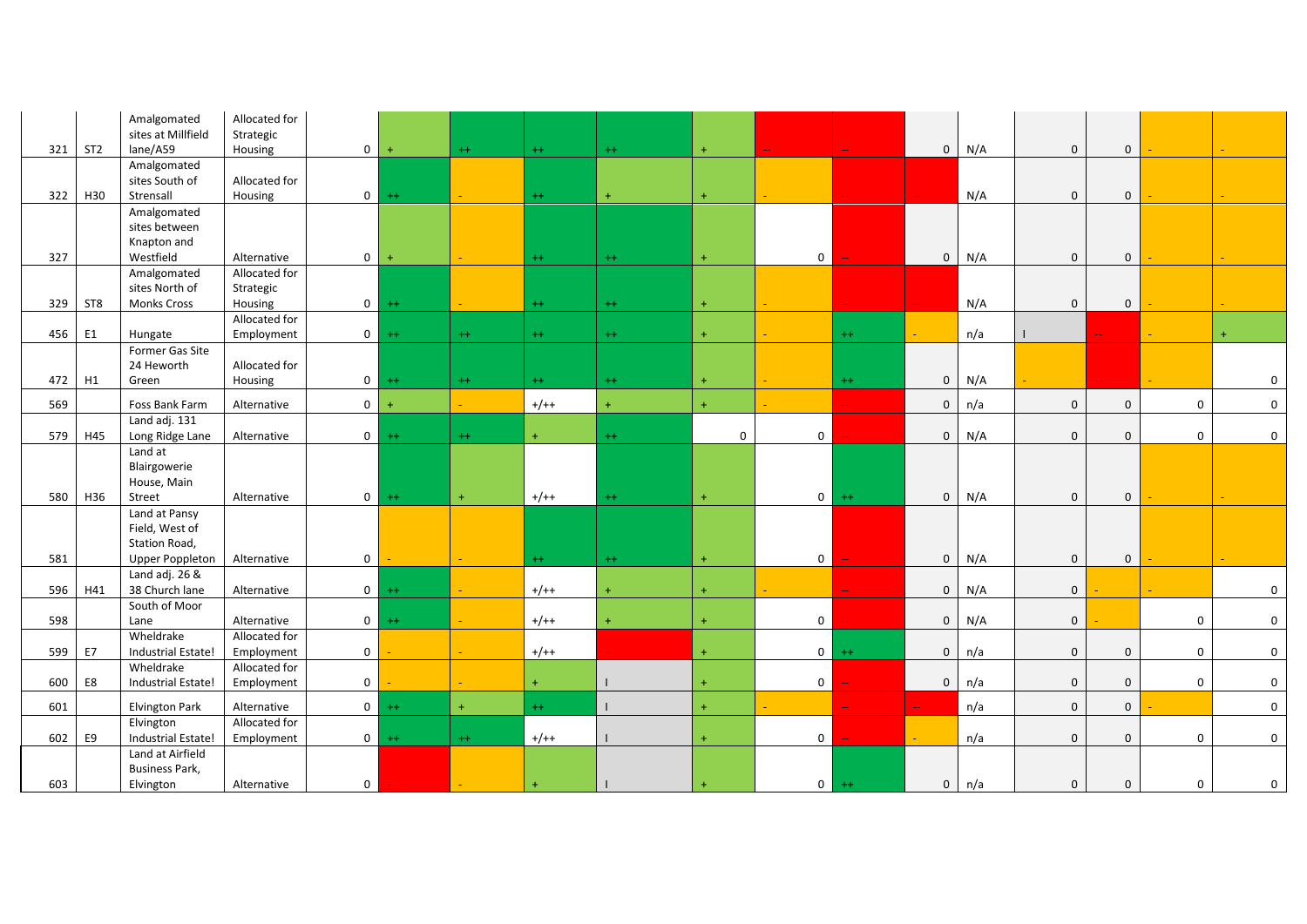|     |                 | Amalgomated<br>sites at Millfield    | Allocated for<br>Strategic |                |           |                  |           |              |             |                |         |                     |     |              |              |                  |             |
|-----|-----------------|--------------------------------------|----------------------------|----------------|-----------|------------------|-----------|--------------|-------------|----------------|---------|---------------------|-----|--------------|--------------|------------------|-------------|
| 321 | ST <sub>2</sub> | lane/A59                             | Housing                    | $\overline{0}$ | $+$       | $^{++}$          | $++$      | $^{++}$      | $+$         |                |         | $\mathsf{O}\xspace$ | N/A | $\mathbf 0$  | $\mathbf 0$  |                  |             |
|     |                 | Amalgomated                          |                            |                |           |                  |           |              |             |                |         |                     |     |              |              |                  |             |
|     |                 | sites South of                       | Allocated for              |                |           |                  |           |              |             |                |         |                     |     |              |              |                  |             |
| 322 | H30             | Strensall                            | Housing                    | 0 <sup>1</sup> | $++$      |                  | $++$      | $+$          | $+$         |                |         |                     | N/A | $\mathbf 0$  | $\mathbf 0$  |                  |             |
|     |                 | Amalgomated                          |                            |                |           |                  |           |              |             |                |         |                     |     |              |              |                  |             |
|     |                 | sites between                        |                            |                |           |                  |           |              |             |                |         |                     |     |              |              |                  |             |
|     |                 | Knapton and                          |                            |                |           |                  |           |              |             |                |         |                     |     |              |              |                  |             |
| 327 |                 | Westfield                            | Alternative                | $\mathbf 0$    | $\ddot{}$ |                  | $^{++}$   | $^{++}$      | $\ddot{}$   | $\mathbf 0$    |         | $\mathbf 0$         | N/A | $\mathbf 0$  | $\mathbf 0$  |                  |             |
|     |                 | Amalgomated                          | Allocated for              |                |           |                  |           |              |             |                |         |                     |     |              |              |                  |             |
| 329 | ST8             | sites North of<br><b>Monks Cross</b> | Strategic<br>Housing       |                | $0 + +$   |                  | $++$      | $++$         | $\ddot{}$   |                |         |                     | N/A | $\mathbf 0$  | $\mathbf 0$  |                  |             |
|     |                 |                                      | Allocated for              |                |           |                  |           |              |             |                |         |                     |     |              |              |                  |             |
| 456 | E <sub>1</sub>  | Hungate                              | Employment                 | $\overline{0}$ | $++$      | $^{++}$          | $++$      | $^{++}$      | $\ddot{}$   |                | $++$    |                     | n/a |              |              |                  |             |
|     |                 | Former Gas Site                      |                            |                |           |                  |           |              |             |                |         |                     |     |              |              |                  |             |
|     |                 | 24 Heworth                           | Allocated for              |                |           |                  |           |              |             |                |         |                     |     |              |              |                  |             |
| 472 | H1              | Green                                | Housing                    | 0 <sup>1</sup> | $++$      | $++$             | $++$      | $++$         | $\ddot{}$   |                | $++$    | $\mathbf 0$         | N/A |              |              |                  | $\mathbf 0$ |
|     |                 |                                      |                            |                |           |                  |           |              |             |                |         |                     |     |              |              |                  |             |
| 569 |                 | Foss Bank Farm                       | Alternative                | 0 <sup>1</sup> | $+$       |                  | $+/++$    | $+$          | $\ddot{}$   |                |         | $\mathbf 0$         | n/a | $\mathbf 0$  | $\mathbf 0$  | $\boldsymbol{0}$ | $\mathbf 0$ |
|     | H45             | Land adj. 131                        |                            | 0 <sup>1</sup> | $++$      |                  | $+$       | $++$         | $\mathbf 0$ | $\overline{0}$ |         |                     |     | $\mathbf{0}$ | $\mathbf{0}$ | $\mathbf 0$      | $\mathbf 0$ |
| 579 |                 | Long Ridge Lane<br>Land at           | Alternative                |                |           | $++$             |           |              |             |                |         | $\mathbf 0$         | N/A |              |              |                  |             |
|     |                 | Blairgowerie                         |                            |                |           |                  |           |              |             |                |         |                     |     |              |              |                  |             |
|     |                 | House, Main                          |                            |                |           |                  |           |              |             |                |         |                     |     |              |              |                  |             |
| 580 | H36             | Street                               | Alternative                | $\overline{0}$ | $++$      | $+$              | $+/++$    | $^{++}$      | $\ddot{}$   | $\overline{0}$ | $++$    | $\mathbf 0$         | N/A | $\mathbf 0$  | $\mathbf 0$  |                  |             |
|     |                 | Land at Pansy                        |                            |                |           |                  |           |              |             |                |         |                     |     |              |              |                  |             |
|     |                 | Field, West of                       |                            |                |           |                  |           |              |             |                |         |                     |     |              |              |                  |             |
|     |                 | Station Road,                        |                            |                |           |                  |           |              |             |                |         |                     |     |              |              |                  |             |
| 581 |                 | <b>Upper Poppleton</b>               | Alternative                | $\mathbf 0$    |           | $\omega_{\rm c}$ | $++$      | $++$         | $\ddot{}$   | $\overline{0}$ |         | $\mathbf 0$         | N/A | $\mathbf 0$  | $\mathbf 0$  |                  |             |
|     |                 | Land adj. 26 &                       |                            |                |           |                  |           |              |             |                |         |                     |     |              |              |                  |             |
| 596 | H41             | 38 Church lane                       | Alternative                | $\overline{0}$ | $++$      |                  | $+/++$    |              | $\ddot{}$   |                |         | $\mathbf 0$         | N/A | $\mathsf 0$  |              |                  | $\mathsf 0$ |
|     |                 | South of Moor                        |                            |                |           |                  |           |              |             |                |         |                     |     |              |              |                  |             |
| 598 |                 | Lane                                 | Alternative                | $\overline{0}$ | $^{++}$   |                  | $+/++$    |              | $\ddot{}$   | $\overline{0}$ |         | $\mathsf{O}\xspace$ | N/A | $\mathsf 0$  |              | $\mathsf 0$      | $\mathbf 0$ |
|     |                 | Wheldrake                            | Allocated for              |                |           |                  |           |              |             |                |         |                     |     |              |              |                  |             |
| 599 | <b>E7</b>       | Industrial Estate!                   | Employment                 | $\mathbf{0}$   |           | $\sim$ .         | $+/++$    |              | $+$         | $0-1$          | $++$    | $\mathbf 0$         | n/a | $\mathbf{0}$ | $\mathbf{0}$ | $\boldsymbol{0}$ | $\mathbf 0$ |
|     |                 | Wheldrake                            | Allocated for              |                |           |                  |           |              |             |                |         |                     |     |              |              |                  |             |
| 600 | E8              | Industrial Estate!                   | Employment                 | $\mathbf 0$    |           |                  | $\ddot{}$ |              | 4           | $\overline{0}$ |         | $\mathbf 0$         | n/a | $\mathbf 0$  | $\mathbf{0}$ | $\mathbf 0$      | $\mathbf 0$ |
| 601 |                 | <b>Elvington Park</b>                | Alternative                | $\overline{0}$ | $++$      | $+$              | $+ +$     | $\mathbf{I}$ | $\ddot{}$   |                |         |                     | n/a | $\mathbf 0$  | $\mathbf{0}$ |                  | $\mathbf 0$ |
|     |                 | Elvington                            | Allocated for              |                |           |                  |           |              |             |                |         |                     |     |              |              |                  |             |
| 602 | E9              | Industrial Estate!                   | Employment                 | 0 <sup>1</sup> | $++$      | $++$             | $+/++$    |              | $\ddot{}$   | $\overline{0}$ |         | u.                  | n/a | $\mathbf 0$  | $\mathbf{0}$ | $\mathbf 0$      | $\mathbf 0$ |
|     |                 | Land at Airfield                     |                            |                |           |                  |           |              |             |                |         |                     |     |              |              |                  |             |
|     |                 | <b>Business Park,</b>                |                            |                |           |                  |           |              |             |                |         |                     |     |              |              |                  |             |
| 603 |                 | Elvington                            | Alternative                | $\mathbf{0}$   |           |                  | $\ddot{}$ |              |             | $\overline{0}$ | $^{++}$ | $\mathbf 0$         | n/a | $\mathbf 0$  | $\mathbf{0}$ | $\boldsymbol{0}$ | 0           |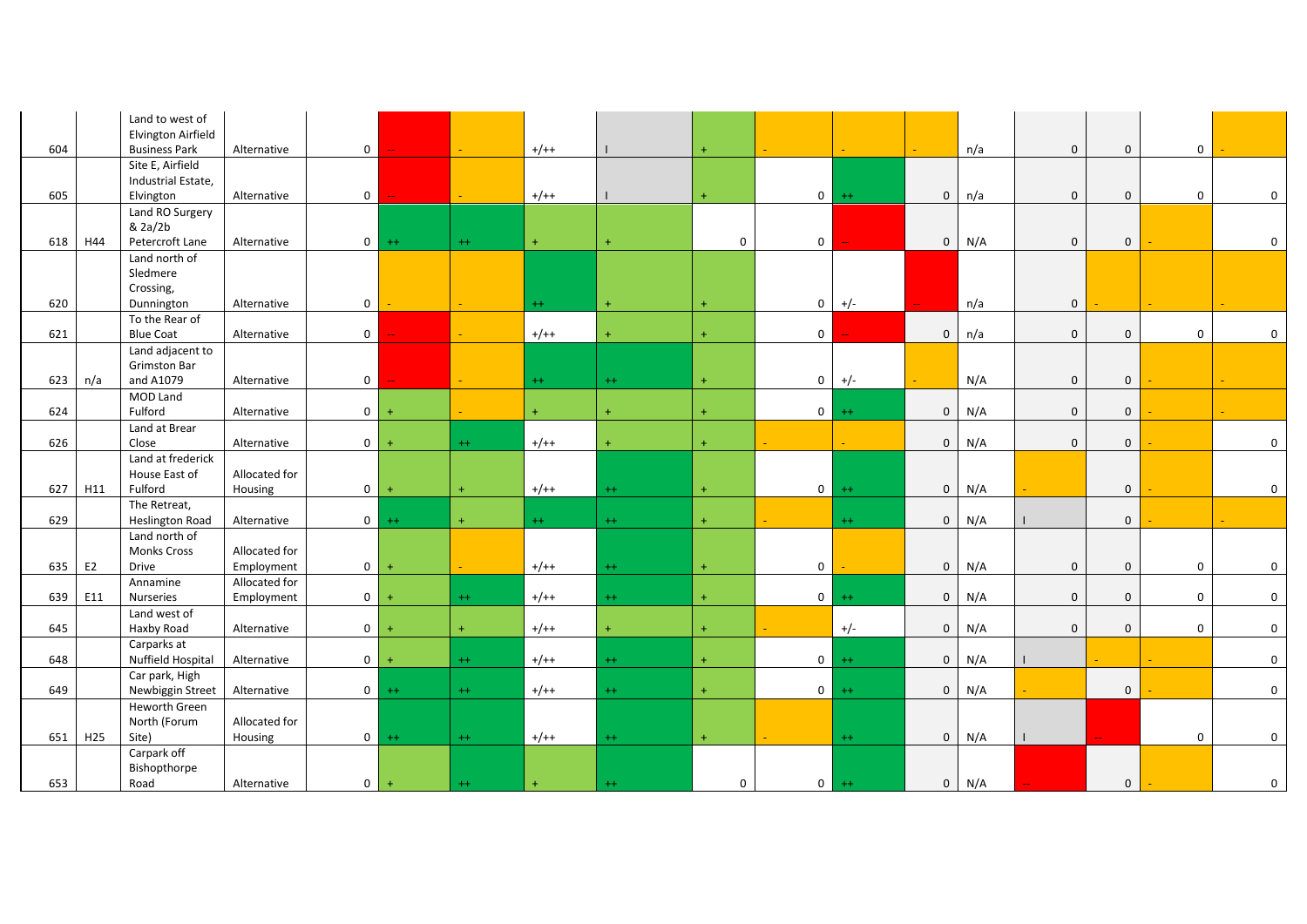|     |                 | Land to west of<br>Elvington Airfield |               |                |           |                     |           |           |                     |                |         |              |     |             |              |             |                  |
|-----|-----------------|---------------------------------------|---------------|----------------|-----------|---------------------|-----------|-----------|---------------------|----------------|---------|--------------|-----|-------------|--------------|-------------|------------------|
| 604 |                 | <b>Business Park</b>                  | Alternative   | $\overline{0}$ |           | $\omega_{\rm{eff}}$ | $+/++$    |           | $\ddot{}$           |                |         |              | n/a | $\mathbf 0$ | $\mathbf 0$  | 0           |                  |
|     |                 | Site E, Airfield                      |               |                |           |                     |           |           |                     |                |         |              |     |             |              |             |                  |
|     |                 | Industrial Estate,                    |               |                |           |                     |           |           |                     |                |         |              |     |             |              |             |                  |
| 605 |                 | Elvington                             | Alternative   | $\overline{0}$ |           | $\sim$ .            | $+/++$    |           | $\ddot{}$           | $\overline{0}$ | $^{++}$ | $\mathbf 0$  | n/a | $\mathbf 0$ | $\mathbf 0$  | 0           | 0                |
|     |                 | Land RO Surgery                       |               |                |           |                     |           |           |                     |                |         |              |     |             |              |             |                  |
|     |                 | & 2a/2b                               |               |                |           |                     |           |           |                     |                |         |              |     |             |              |             |                  |
| 618 | H44             | Petercroft Lane                       | Alternative   | $\overline{0}$ | $++$      | $++$                | $\ddot{}$ | ÷         | $\mathsf{O}\xspace$ | $\mathbf 0$    |         | $\mathbf 0$  | N/A | $\mathbf 0$ | $\mathbf 0$  |             | $\boldsymbol{0}$ |
|     |                 | Land north of                         |               |                |           |                     |           |           |                     |                |         |              |     |             |              |             |                  |
|     |                 | Sledmere                              |               |                |           |                     |           |           |                     |                |         |              |     |             |              |             |                  |
| 620 |                 | Crossing,<br>Dunnington               | Alternative   | $\overline{0}$ |           | $\equiv$            | $++$      | $\ddot{}$ | $\ddot{}$           | $\mathbf 0$    | $+/-$   |              | n/a | $\mathbf 0$ |              |             |                  |
|     |                 | To the Rear of                        |               |                |           |                     |           |           |                     |                |         |              |     |             |              |             |                  |
| 621 |                 | <b>Blue Coat</b>                      | Alternative   | $\overline{0}$ |           |                     | $+/++$    |           | $\ddot{}$           | $\mathbf 0$    |         | $\mathbf 0$  | n/a | $\pmb{0}$   | $\mathbf 0$  | $\mathbf 0$ | $\mathbf 0$      |
|     |                 | Land adjacent to                      |               |                |           |                     |           |           |                     |                |         |              |     |             |              |             |                  |
|     |                 | <b>Grimston Bar</b>                   |               |                |           |                     |           |           |                     |                |         |              |     |             |              |             |                  |
| 623 | n/a             | and A1079                             | Alternative   | $\overline{0}$ |           |                     | $^{++}$   | $^{++}$   | $+$                 | $\overline{0}$ | $+/-$   |              | N/A | $\mathbf 0$ | $\mathbf 0$  |             |                  |
|     |                 | MOD Land                              |               |                |           |                     |           |           |                     |                |         |              |     |             |              |             |                  |
| 624 |                 | Fulford                               | Alternative   | 0 <sup>1</sup> | $+$       |                     | $\ddot{}$ | $\ddot{}$ | $+$                 | $\overline{0}$ | $++$    | $\mathbf{0}$ | N/A | $\mathbf 0$ | $\mathbf{0}$ |             |                  |
|     |                 | Land at Brear                         |               |                |           |                     |           |           |                     |                |         |              |     |             |              |             |                  |
| 626 |                 | Close                                 | Alternative   | $\mathbf 0$    |           | $++$                | $+/++$    |           | $\ddot{}$           |                |         | $\mathbf 0$  | N/A | $\mathbf 0$ | $\mathbf{0}$ |             | $\mathbf 0$      |
|     |                 | Land at frederick                     |               |                |           |                     |           |           |                     |                |         |              |     |             |              |             |                  |
|     |                 | House East of                         | Allocated for |                |           |                     |           |           |                     |                |         |              |     |             |              |             |                  |
| 627 | H11             | Fulford                               | Housing       | 0              | $\ddot{}$ | $\ddot{}$           | $+/++$    | $^{++}$   | $\ddot{}$           | $\overline{0}$ | $++$    | $\mathbf 0$  | N/A |             | $\mathbf 0$  |             | 0                |
|     |                 | The Retreat,                          |               |                |           |                     |           |           |                     |                |         |              |     |             |              |             |                  |
| 629 |                 | <b>Heslington Road</b>                | Alternative   | $\overline{0}$ | $++$      | $+$                 | $+ +$     | $++$      | $\ddot{}$           |                | $^{++}$ | $\mathbf 0$  | N/A |             | $\mathbf 0$  |             |                  |
|     |                 | Land north of                         |               |                |           |                     |           |           |                     |                |         |              |     |             |              |             |                  |
|     |                 | <b>Monks Cross</b>                    | Allocated for |                |           |                     |           |           |                     |                |         |              |     |             |              |             |                  |
| 635 | E <sub>2</sub>  | Drive                                 | Employment    | $\overline{0}$ | $\pm$     |                     | $+/++$    | $^{++}$   | $\ddot{}$           | $\mathbf 0$    |         | 0            | N/A | $\mathbf 0$ | $\mathbf 0$  | $\mathbf 0$ | $\mathbf 0$      |
| 639 | E11             | Annamine<br>Nurseries                 | Allocated for | 0 <sup>1</sup> |           | $++$                | $+/++$    | $++$      | $\ddot{\mathrm{+}}$ | 0 <sup>1</sup> | $++$    | $\mathbf 0$  | N/A | $\mathbf 0$ | $\mathbf{0}$ | $\mathbf 0$ | $\mathbf 0$      |
|     |                 | Land west of                          | Employment    |                | $\ddot{}$ |                     |           |           |                     |                |         |              |     |             |              |             |                  |
| 645 |                 | Haxby Road                            | Alternative   | $\overline{0}$ |           | $\pm$               | $+/++$    | ÷.        | $\ddot{}$           |                | $+/-$   | $\mathbf 0$  | N/A | $\mathbf 0$ | $\mathbf{0}$ | $\mathbf 0$ | $\mathbf 0$      |
|     |                 | Carparks at                           |               |                |           |                     |           |           |                     |                |         |              |     |             |              |             |                  |
| 648 |                 | <b>Nuffield Hospital</b>              | Alternative   | $\overline{0}$ | $\ddot{}$ | $++$                | $+/++$    | $^{++}$   | $\ddot{}$           | $\overline{0}$ | $^{++}$ | $\mathbf 0$  | N/A |             |              |             | $\mathbf 0$      |
|     |                 | Car park, High                        |               |                |           |                     |           |           |                     |                |         |              |     |             |              |             |                  |
| 649 |                 | Newbiggin Street                      | Alternative   | $\overline{0}$ | $++$      | $++$                | $+/++$    | $^{++}$   | $\ddot{}$           | $\overline{0}$ | $^{++}$ | $\mathbf 0$  | N/A |             | $\mathbf 0$  |             | $\mathbf 0$      |
|     |                 | Heworth Green                         |               |                |           |                     |           |           |                     |                |         |              |     |             |              |             |                  |
|     |                 | North (Forum                          | Allocated for |                |           |                     |           |           |                     |                |         |              |     |             |              |             |                  |
| 651 | H <sub>25</sub> | Site)                                 | Housing       | $\overline{0}$ | $++$      | $^{++}$             | $+/++$    | $^{++}$   | $\ddot{}$           |                | $^{++}$ | $\mathbf 0$  | N/A |             |              | 0           | $\boldsymbol{0}$ |
|     |                 | Carpark off                           |               |                |           |                     |           |           |                     |                |         |              |     |             |              |             |                  |
|     |                 | Bishopthorpe                          |               |                |           |                     |           |           |                     |                |         |              |     |             |              |             |                  |
| 653 |                 | Road                                  | Alternative   | $\overline{0}$ | $\ddot{}$ | $^{++}$             | $\ddot{}$ | $++$      | 0                   | 0 <sup>1</sup> | $^{++}$ | 0            | N/A |             | $\mathbf 0$  |             | $\mathbf 0$      |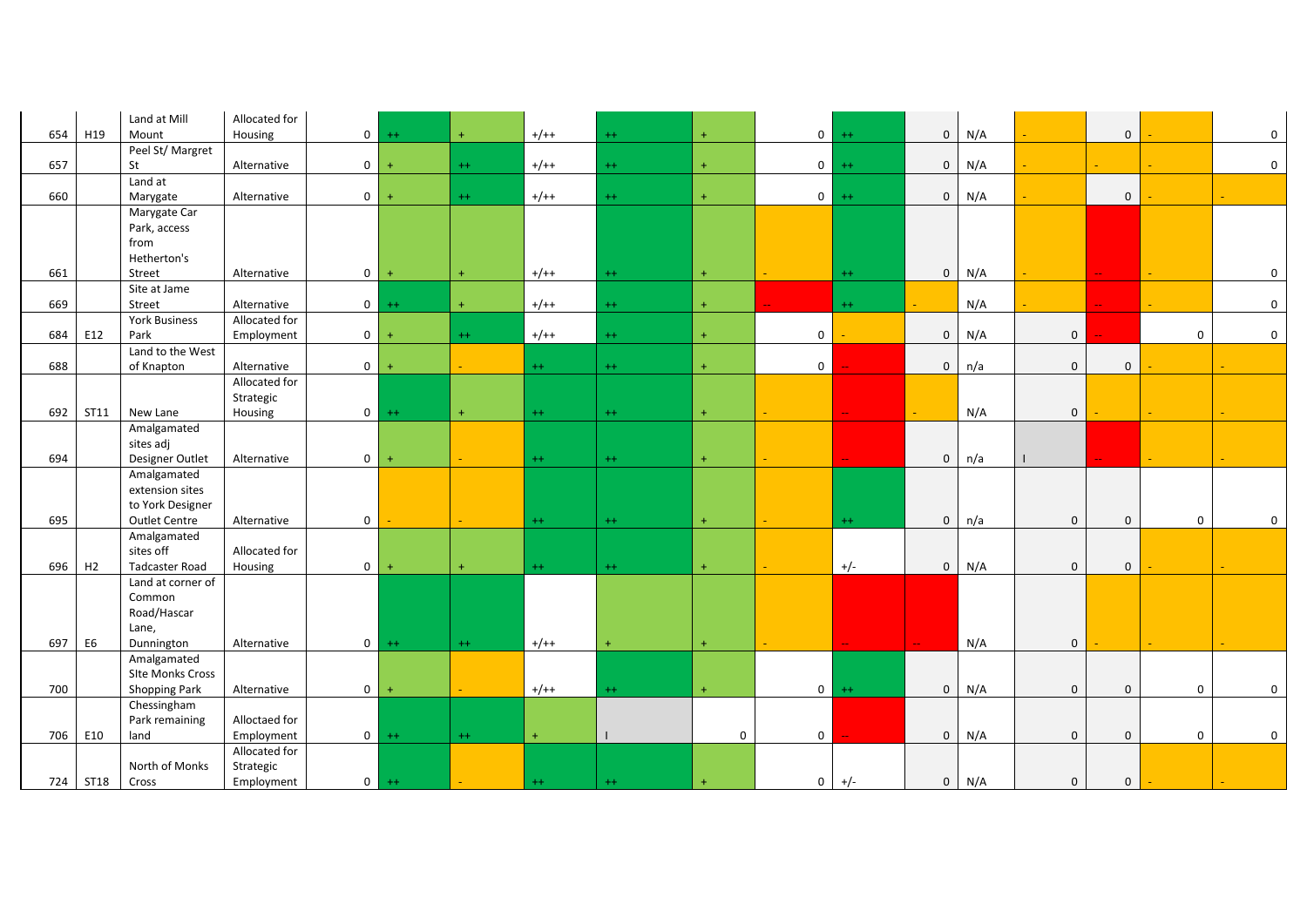|     |                | Land at Mill          | Allocated for |                |           |             |           |         |           |                |         |             |     |              |              |                  |             |
|-----|----------------|-----------------------|---------------|----------------|-----------|-------------|-----------|---------|-----------|----------------|---------|-------------|-----|--------------|--------------|------------------|-------------|
| 654 | H19            | Mount                 | Housing       | $\overline{0}$ | $^{++}$   | $+$         | $+/++$    | $^{++}$ | $\ddot{}$ | 0 <sup>1</sup> | $^{++}$ | $\mathbf 0$ | N/A |              | $\mathbf 0$  |                  | 0           |
|     |                | Peel St/ Margret      |               |                |           |             |           |         |           |                |         |             |     |              |              |                  |             |
| 657 |                | St                    | Alternative   | $\overline{0}$ | $+$       | $++$        | $+/++$    | $++$    | $+$       | 0 <sup>1</sup> | $++$    | $\mathbf 0$ | N/A |              |              |                  | 0           |
|     |                | Land at               |               |                |           |             |           |         |           |                |         |             |     |              |              |                  |             |
| 660 |                | Marygate              | Alternative   | $\overline{0}$ | $+$       | $++$        | $+/++$    | $^{++}$ | $\pm$     | $\circ$        | $^{++}$ | $\mathbf 0$ | N/A |              | $\mathbf 0$  |                  |             |
|     |                | Marygate Car          |               |                |           |             |           |         |           |                |         |             |     |              |              |                  |             |
|     |                | Park, access          |               |                |           |             |           |         |           |                |         |             |     |              |              |                  |             |
|     |                | from                  |               |                |           |             |           |         |           |                |         |             |     |              |              |                  |             |
|     |                | Hetherton's           |               |                |           |             |           |         |           |                |         |             |     |              |              |                  |             |
| 661 |                | <b>Street</b>         | Alternative   | $\overline{0}$ | $\ddot{}$ | $+$         | $+/++$    | $++$    | $\ddot{}$ |                | $^{++}$ | $\mathbf 0$ | N/A |              |              |                  | 0           |
|     |                | Site at Jame          |               |                |           |             |           |         |           |                |         |             |     |              |              |                  |             |
| 669 |                | Street                | Alternative   | $\overline{0}$ | $++$      | $\ddot{}$   | $+/++$    | $^{++}$ | $\ddot{}$ |                | $^{++}$ |             | N/A |              |              |                  | $\mathbf 0$ |
|     |                | <b>York Business</b>  | Allocated for |                |           |             |           |         |           |                |         |             |     |              |              |                  |             |
| 684 | E12            | Park                  | Employment    | $\overline{0}$ | $\ddot{}$ | $^{++}$     | $+/++$    | $++$    | $\ddot{}$ | $\mathbf 0$    |         | $\pmb{0}$   | N/A | $\mathbf 0$  |              | $\mathbf 0$      | $\mathbf 0$ |
|     |                | Land to the West      |               |                |           |             |           |         |           |                |         |             |     |              |              |                  |             |
| 688 |                | of Knapton            | Alternative   | $\overline{0}$ | $\ddot{}$ |             | $+ +$     | $^{++}$ | $\ddot{}$ | $\mathbf 0$    |         | $\mathbf 0$ | n/a | $\mathbf 0$  | $\mathbf{0}$ |                  |             |
|     |                |                       | Allocated for |                |           |             |           |         |           |                |         |             |     |              |              |                  |             |
|     |                |                       | Strategic     |                |           |             |           |         |           |                |         |             |     |              |              |                  |             |
| 692 | ST11           | New Lane              | Housing       | $\circ$        | $++$      | $+$         | $++$      | $^{++}$ | $\ddot{}$ |                |         |             | N/A | $\mathbf 0$  |              |                  |             |
|     |                | Amalgamated           |               |                |           |             |           |         |           |                |         |             |     |              |              |                  |             |
|     |                | sites adj             |               |                |           |             |           |         |           |                |         |             |     |              |              |                  |             |
| 694 |                | Designer Outlet       | Alternative   | $\mathbf 0$    |           |             | $++$      | $^{++}$ | $+$       |                |         | $\mathbf 0$ | n/a |              |              |                  |             |
|     |                | Amalgamated           |               |                |           |             |           |         |           |                |         |             |     |              |              |                  |             |
|     |                | extension sites       |               |                |           |             |           |         |           |                |         |             |     |              |              |                  |             |
|     |                | to York Designer      |               |                |           |             |           |         |           |                |         |             |     |              |              |                  |             |
| 695 |                | <b>Outlet Centre</b>  | Alternative   | $\mathbf 0$    |           |             | $++$      | $^{++}$ | $\pm$     |                | $^{++}$ | $\mathbf 0$ | n/a | $\mathbf 0$  | $\mathbf 0$  | $\mathbf 0$      | 0           |
|     |                | Amalgamated           |               |                |           |             |           |         |           |                |         |             |     |              |              |                  |             |
|     |                | sites off             | Allocated for |                |           |             |           |         |           |                |         |             |     |              |              |                  |             |
| 696 | H2             | <b>Tadcaster Road</b> | Housing       | $\overline{0}$ | $\ddot{}$ | $\ddotmark$ | $++$      | $++$    | $\ddot{}$ |                | $+/-$   | $\mathbf 0$ | N/A | $\mathbf 0$  | $\mathbf{0}$ |                  |             |
|     |                | Land at corner of     |               |                |           |             |           |         |           |                |         |             |     |              |              |                  |             |
|     |                | Common                |               |                |           |             |           |         |           |                |         |             |     |              |              |                  |             |
|     |                | Road/Hascar           |               |                |           |             |           |         |           |                |         |             |     |              |              |                  |             |
|     |                | Lane,                 |               |                |           |             |           |         |           |                |         |             |     |              |              |                  |             |
| 697 | E <sub>6</sub> | Dunnington            | Alternative   | $\circ$        | $^{++}$   | $++$        | $+/++$    |         | $\ddot{}$ |                |         |             | N/A | $\mathbf 0$  |              |                  |             |
|     |                | Amalgamated           |               |                |           |             |           |         |           |                |         |             |     |              |              |                  |             |
|     |                | SIte Monks Cross      |               |                |           |             |           |         |           |                |         |             |     |              |              |                  |             |
| 700 |                | <b>Shopping Park</b>  | Alternative   | $\overline{0}$ | $+$       |             | $+/++$    | $++$    | $\ddot{}$ | 0 <sup>1</sup> | $^{++}$ | $\mathbf 0$ | N/A | $\mathbf{0}$ | $\mathbf{0}$ | $\boldsymbol{0}$ | $\mathbf 0$ |
|     |                | Chessingham           |               |                |           |             |           |         |           |                |         |             |     |              |              |                  |             |
|     |                | Park remaining        | Alloctaed for |                |           |             |           |         |           |                |         |             |     |              |              |                  |             |
| 706 | E10            | land                  | Employment    | $\circ$        | $^{++}$   | $++$        | $\ddot{}$ |         | 0         | $\mathbf 0$    |         | $\mathbf 0$ | N/A | $\mathbf 0$  | $\mathbf{0}$ | $\mathbf 0$      | 0           |
|     |                |                       | Allocated for |                |           |             |           |         |           |                |         |             |     |              |              |                  |             |
|     |                | North of Monks        | Strategic     |                |           |             |           |         |           |                |         |             |     |              |              |                  |             |
|     | 724 ST18       | Cross                 | Employment    | $\circ$        | $^{++}$   |             | $++$      | $^{++}$ | $\ddot{}$ | $\mathsf 0$    | $+/-$   | $\mathbf 0$ | N/A | $\pmb{0}$    | $\mathbf 0$  |                  |             |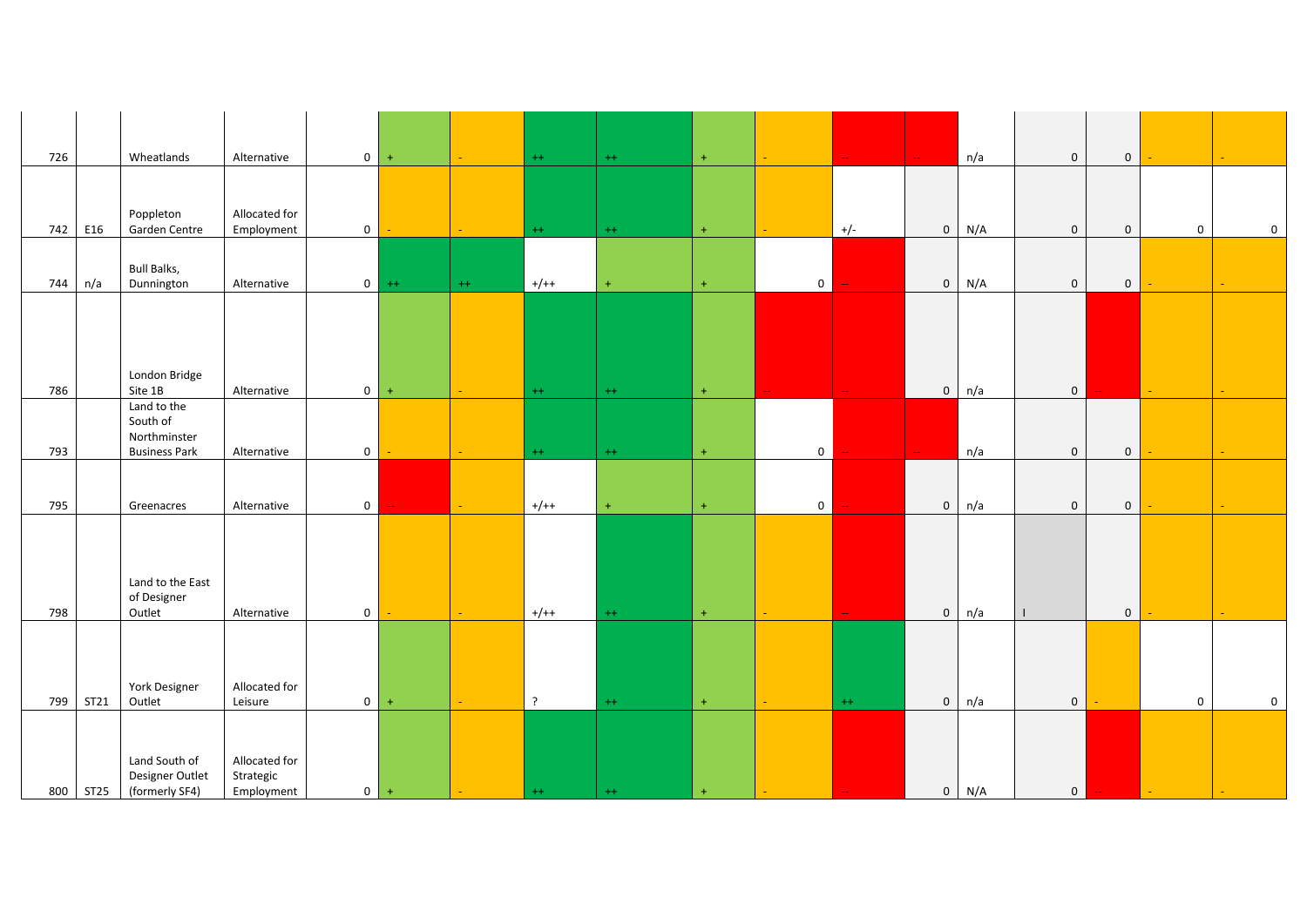| 726 |          | Wheatlands                                                      | Alternative                              | $\mathbf 0$    | $\ddot{}$ |                 | $^{++}$ | $++$    | $\ddot{}$ |                |         | $\perp$ .    | n/a | $\mathbf 0$    | $\overline{0}$ |                     |                  |
|-----|----------|-----------------------------------------------------------------|------------------------------------------|----------------|-----------|-----------------|---------|---------|-----------|----------------|---------|--------------|-----|----------------|----------------|---------------------|------------------|
|     |          | Poppleton                                                       | Allocated for                            |                |           |                 |         |         |           |                |         |              |     |                |                |                     |                  |
| 742 | E16      | Garden Centre                                                   | Employment                               | $\mathbf 0$    |           | ÷.              | $^{++}$ | $^{++}$ | $\ddot{}$ |                | $+/-$   | $\mathbf 0$  | N/A | $\mathbf 0$    | $\mathsf 0$    | $\mathsf{O}\xspace$ | $\mathbf 0$      |
| 744 | n/a      | <b>Bull Balks,</b><br>Dunnington                                | Alternative                              | $\overline{0}$ | $^{++}$   | $++$            | $+/++$  |         | $\ddot{}$ | $\overline{0}$ |         | $\mathsf 0$  | N/A | $\mathbf 0$    | $\mathbf{0}$   |                     |                  |
| 786 |          | London Bridge<br>Site 1B                                        | Alternative                              | $\mathbf 0$    | $+$       |                 | $^{++}$ | $^{++}$ | $\pm$     |                |         | $\mathbf 0$  | n/a | $\mathbf 0$    |                |                     |                  |
| 793 |          | Land to the<br>South of<br>Northminster<br><b>Business Park</b> | Alternative                              | $\mathbf 0$    |           | a.              | $^{++}$ | $++$    | $\ddot{}$ | $\overline{0}$ |         | $\mathbf{u}$ | n/a | $\mathbf 0$    | $\overline{0}$ |                     |                  |
| 795 |          | Greenacres                                                      | Alternative                              | $\mathbf 0$    |           | $\Delta \omega$ | $+/++$  |         | $\ddot{}$ | $\overline{0}$ |         | $\mathbf 0$  | n/a | $\mathbf 0$    | $\mathbf 0$    |                     |                  |
| 798 |          | Land to the East<br>of Designer<br>Outlet                       | Alternative                              | $\mathbf 0$    |           | ÷.              | $+/++$  | $^{++}$ | $\pm$     |                |         | $\mathsf 0$  | n/a | $\perp$        | $\overline{0}$ |                     |                  |
| 799 | ST21     | York Designer<br>Outlet                                         | Allocated for<br>Leisure                 | $\mathbf{0}$   | $+$       |                 | $\cdot$ | $++$    | $\pm$     |                | $^{++}$ | $\mathsf 0$  | n/a | $\mathbf 0$    |                | $\mathbf 0$         | $\boldsymbol{0}$ |
|     | 800 ST25 | Land South of<br>Designer Outlet<br>(formerly SF4)              | Allocated for<br>Strategic<br>Employment | $0$ +          |           |                 | $^{++}$ | $^{++}$ |           |                |         | $\mathbf 0$  | N/A | $\overline{0}$ | н.             | $\sim$              |                  |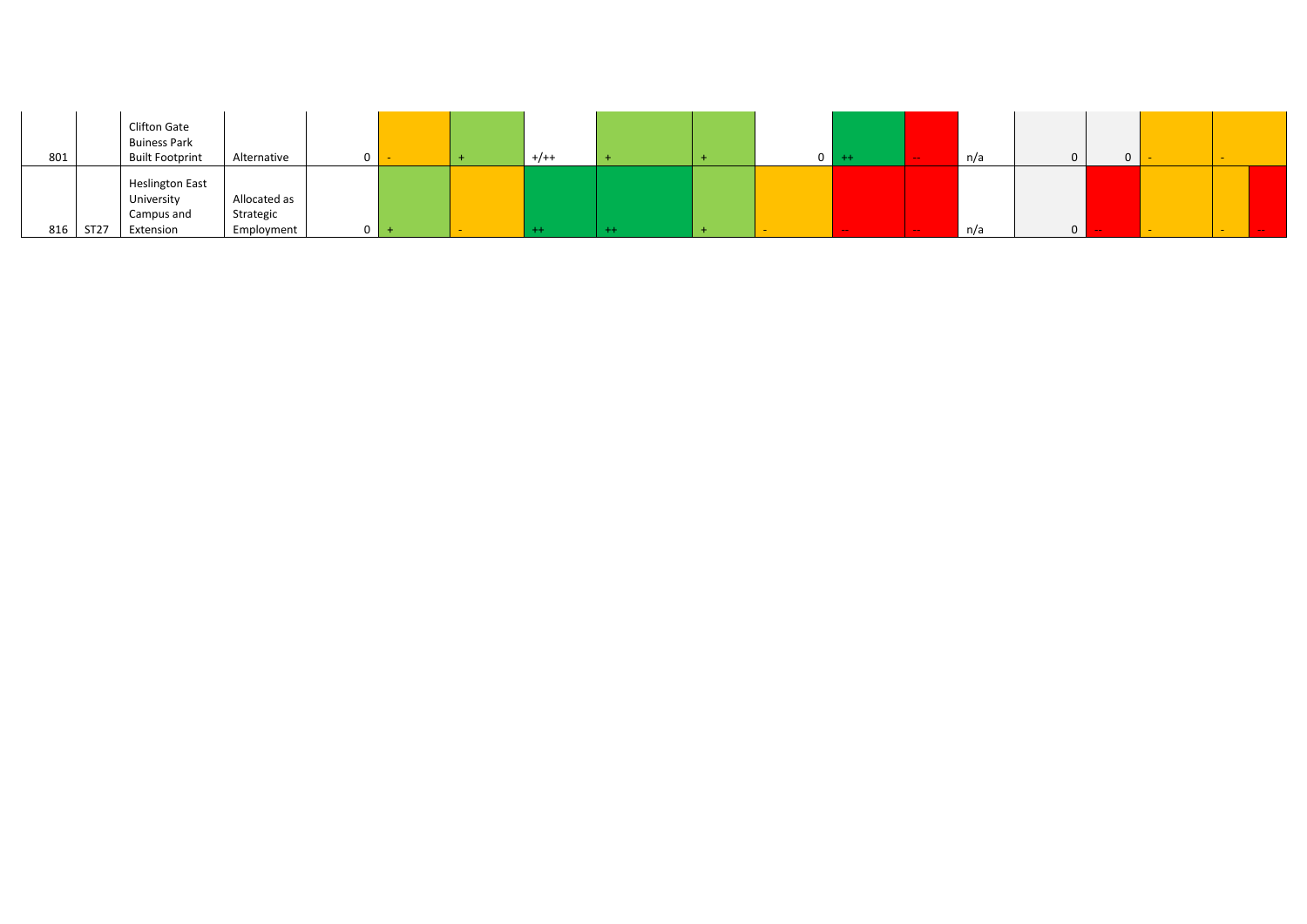| 801 |      | <b>Clifton Gate</b><br><b>Buiness Park</b><br><b>Built Footprint</b> | Alternative                             | $\Omega$ |  | $+/++$ |  | $0 + +$ | $-$   | n/a | 0              | 0 |               |  |
|-----|------|----------------------------------------------------------------------|-----------------------------------------|----------|--|--------|--|---------|-------|-----|----------------|---|---------------|--|
| 816 | ST27 | <b>Heslington East</b><br>University<br>Campus and<br>Extension      | Allocated as<br>Strategic<br>Employment | $\Omega$ |  |        |  | $\sim$  | $- -$ | n/a | $\overline{0}$ |   | $\frac{1}{2}$ |  |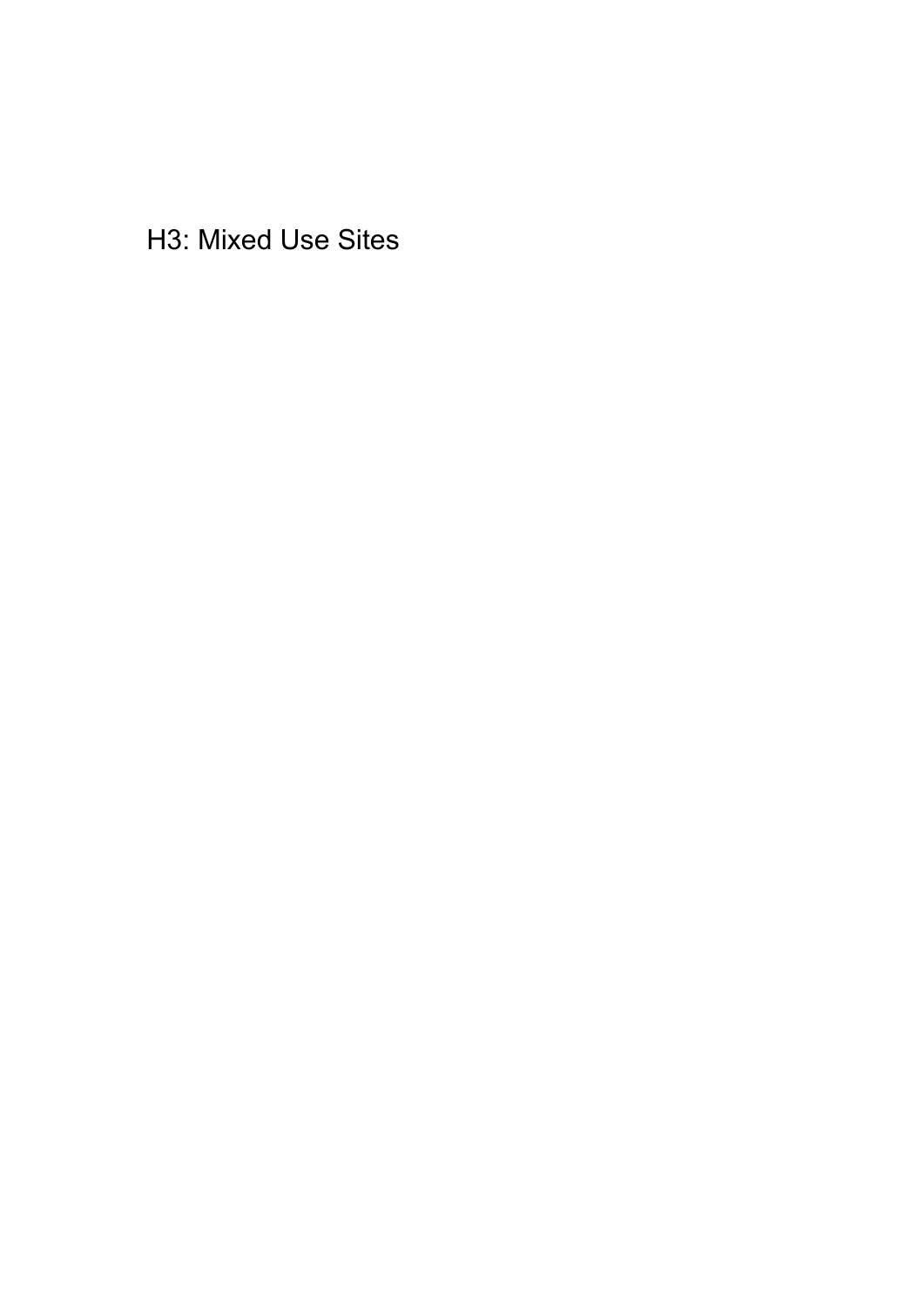H3: Mixed Use Sites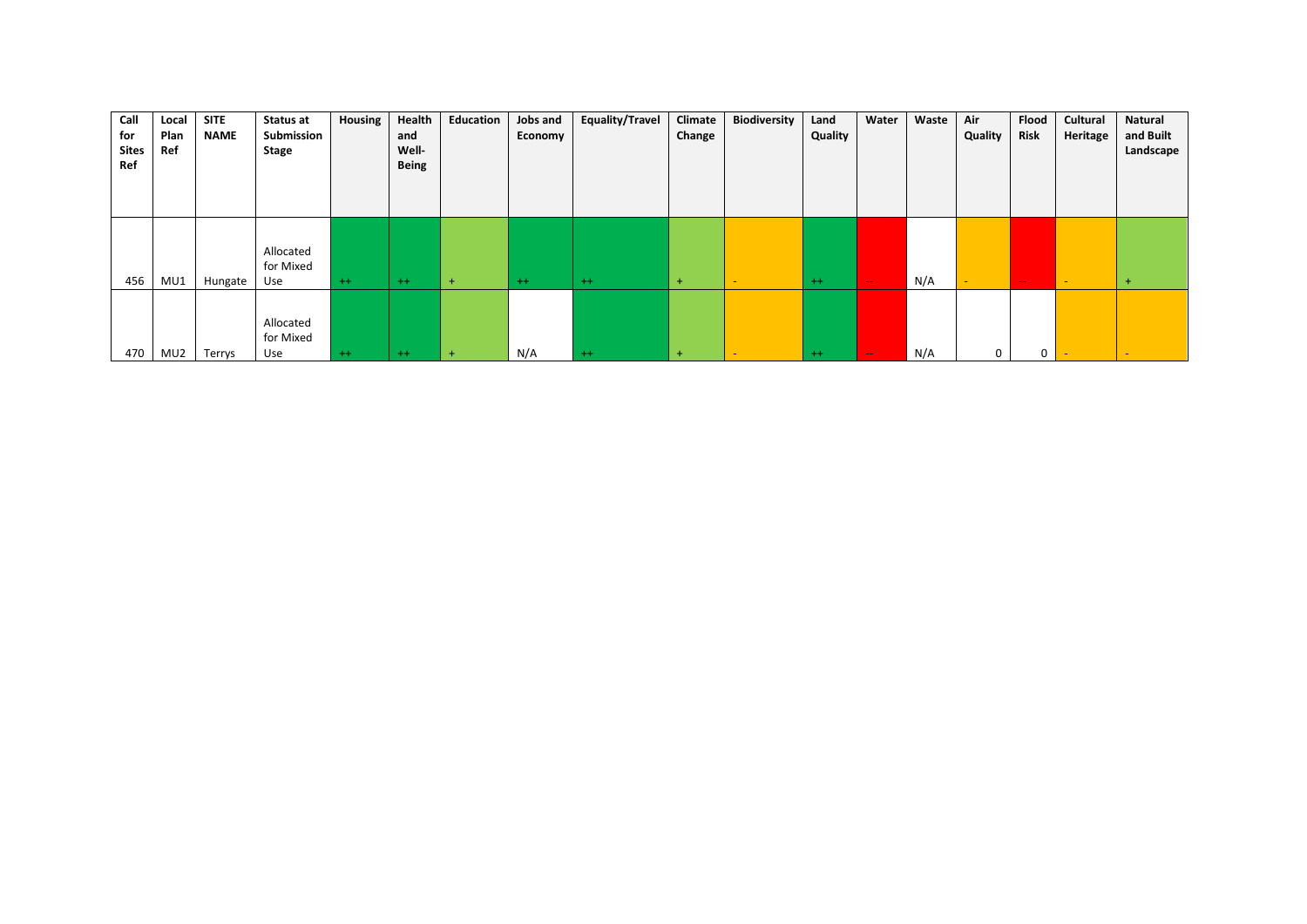| Call<br>for<br><b>Sites</b><br>Ref | Local<br>Plan<br>Ref | <b>SITE</b><br><b>NAME</b> | Status at<br>Submission<br>Stage | Housing | Health<br>and<br>Well-<br><b>Being</b> | Education | Jobs and<br>Economy | <b>Equality/Travel</b> | Climate<br>Change | <b>Biodiversity</b>      | Land<br>Quality | Water         | Waste | Air<br>Quality | Flood<br><b>Risk</b> | Cultural<br>Heritage | <b>Natural</b><br>and Built<br>Landscape |
|------------------------------------|----------------------|----------------------------|----------------------------------|---------|----------------------------------------|-----------|---------------------|------------------------|-------------------|--------------------------|-----------------|---------------|-------|----------------|----------------------|----------------------|------------------------------------------|
| 456                                | MU1                  | Hungate                    | Allocated<br>for Mixed<br>Use    | $++$    | $++$                                   | $+$       | $++$                | $++$                   | $+$               | $\overline{\phantom{0}}$ | $++$            | $\sim$ $\sim$ | N/A   |                | $\sim$ $\sim$        | $\sim$               | $\overline{ }$                           |
| 470                                | MU2                  | Terrys                     | Allocated<br>for Mixed<br>Use    | $++$    | $++$                                   | $+$       | N/A                 | $++$                   | $+$               |                          | $++$            | $\sim$ $\sim$ | N/A   | $\Omega$       | 0                    |                      |                                          |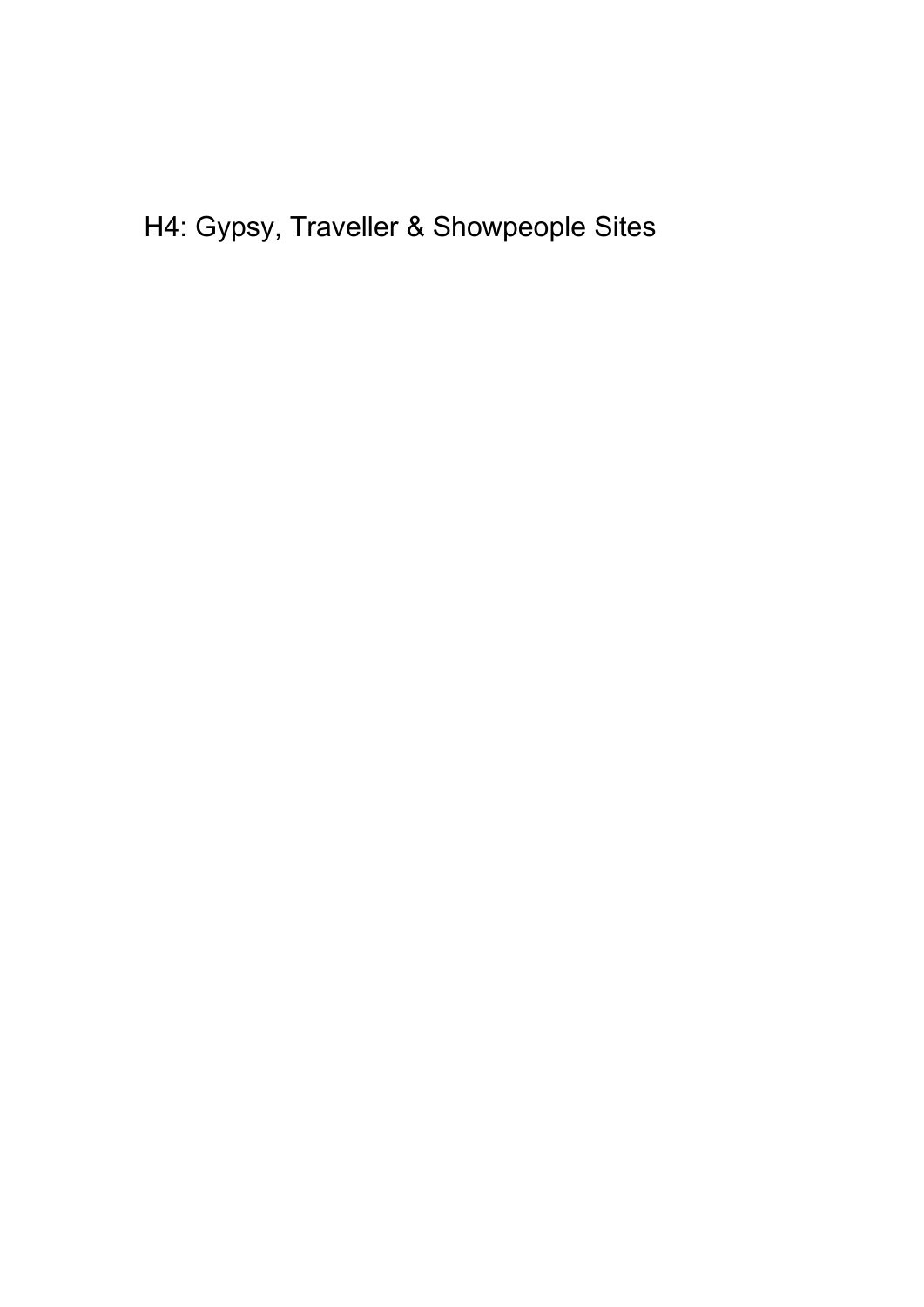H4: Gypsy, Traveller & Showpeople Sites